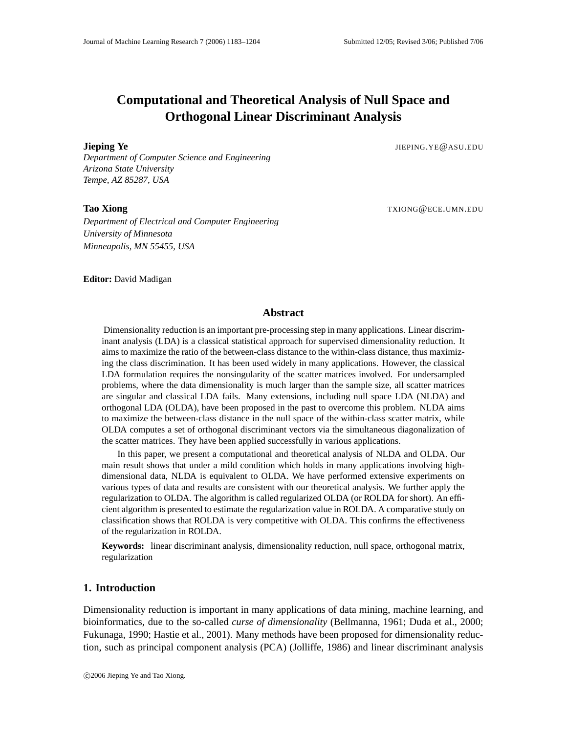# **Computational and Theoretical Analysis of Null Space and Orthogonal Linear Discriminant Analysis**

**Jieping Ye** JIEPING.YE@ASU.EDU

*Department of Computer Science and Engineering Arizona State University Tempe, AZ 85287, USA*

**Tao Xiong** TXIONG@ECE.UMN.EDU

*Department of Electrical and Computer Engineering University of Minnesota Minneapolis, MN 55455, USA*

**Editor:** David Madigan

# **Abstract**

Dimensionality reduction is an important pre-processing step in many applications. Linear discriminant analysis (LDA) is a classical statistical approach for supervised dimensionality reduction. It aims to maximize the ratio of the between-class distance to the within-class distance, thus maximizing the class discrimination. It has been used widely in many applications. However, the classical LDA formulation requires the nonsingularity of the scatter matrices involved. For undersampled problems, where the data dimensionality is much larger than the sample size, all scatter matrices are singular and classical LDA fails. Many extensions, including null space LDA (NLDA) and orthogonal LDA (OLDA), have been proposed in the past to overcome this problem. NLDA aims to maximize the between-class distance in the null space of the within-class scatter matrix, while OLDA computes a set of orthogonal discriminant vectors via the simultaneous diagonalization of the scatter matrices. They have been applied successfully in various applications.

In this paper, we present a computational and theoretical analysis of NLDA and OLDA. Our main result shows that under a mild condition which holds in many applications involving highdimensional data, NLDA is equivalent to OLDA. We have performed extensive experiments on various types of data and results are consistent with our theoretical analysis. We further apply the regularization to OLDA. The algorithm is called regularized OLDA (or ROLDA for short). An efficient algorithm is presented to estimate the regularization value in ROLDA. A comparative study on classification shows that ROLDA is very competitive with OLDA. This confirms the effectiveness of the regularization in ROLDA.

**Keywords:** linear discriminant analysis, dimensionality reduction, null space, orthogonal matrix, regularization

# **1. Introduction**

Dimensionality reduction is important in many applications of data mining, machine learning, and bioinformatics, due to the so-called *curse of dimensionality* (Bellmanna, 1961; Duda et al., 2000; Fukunaga, 1990; Hastie et al., 2001). Many methods have been proposed for dimensionality reduction, such as principal component analysis (PCA) (Jolliffe, 1986) and linear discriminant analysis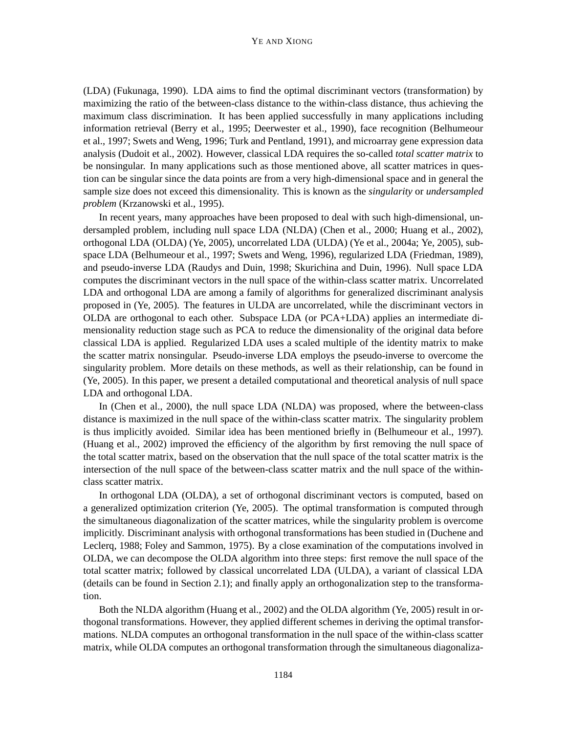(LDA) (Fukunaga, 1990). LDA aims to find the optimal discriminant vectors (transformation) by maximizing the ratio of the between-class distance to the within-class distance, thus achieving the maximum class discrimination. It has been applied successfully in many applications including information retrieval (Berry et al., 1995; Deerwester et al., 1990), face recognition (Belhumeour et al., 1997; Swets and Weng, 1996; Turk and Pentland, 1991), and microarray gene expression data analysis (Dudoit et al., 2002). However, classical LDA requires the so-called *total scatter matrix* to be nonsingular. In many applications such as those mentioned above, all scatter matrices in question can be singular since the data points are from a very high-dimensional space and in general the sample size does not exceed this dimensionality. This is known as the *singularity* or *undersampled problem* (Krzanowski et al., 1995).

In recent years, many approaches have been proposed to deal with such high-dimensional, undersampled problem, including null space LDA (NLDA) (Chen et al., 2000; Huang et al., 2002), orthogonal LDA (OLDA) (Ye, 2005), uncorrelated LDA (ULDA) (Ye et al., 2004a; Ye, 2005), subspace LDA (Belhumeour et al., 1997; Swets and Weng, 1996), regularized LDA (Friedman, 1989), and pseudo-inverse LDA (Raudys and Duin, 1998; Skurichina and Duin, 1996). Null space LDA computes the discriminant vectors in the null space of the within-class scatter matrix. Uncorrelated LDA and orthogonal LDA are among a family of algorithms for generalized discriminant analysis proposed in (Ye, 2005). The features in ULDA are uncorrelated, while the discriminant vectors in OLDA are orthogonal to each other. Subspace LDA (or PCA+LDA) applies an intermediate dimensionality reduction stage such as PCA to reduce the dimensionality of the original data before classical LDA is applied. Regularized LDA uses a scaled multiple of the identity matrix to make the scatter matrix nonsingular. Pseudo-inverse LDA employs the pseudo-inverse to overcome the singularity problem. More details on these methods, as well as their relationship, can be found in (Ye, 2005). In this paper, we present a detailed computational and theoretical analysis of null space LDA and orthogonal LDA.

In (Chen et al., 2000), the null space LDA (NLDA) was proposed, where the between-class distance is maximized in the null space of the within-class scatter matrix. The singularity problem is thus implicitly avoided. Similar idea has been mentioned briefly in (Belhumeour et al., 1997). (Huang et al., 2002) improved the efficiency of the algorithm by first removing the null space of the total scatter matrix, based on the observation that the null space of the total scatter matrix is the intersection of the null space of the between-class scatter matrix and the null space of the withinclass scatter matrix.

In orthogonal LDA (OLDA), a set of orthogonal discriminant vectors is computed, based on a generalized optimization criterion (Ye, 2005). The optimal transformation is computed through the simultaneous diagonalization of the scatter matrices, while the singularity problem is overcome implicitly. Discriminant analysis with orthogonal transformations has been studied in (Duchene and Leclerq, 1988; Foley and Sammon, 1975). By a close examination of the computations involved in OLDA, we can decompose the OLDA algorithm into three steps: first remove the null space of the total scatter matrix; followed by classical uncorrelated LDA (ULDA), a variant of classical LDA (details can be found in Section 2.1); and finally apply an orthogonalization step to the transformation.

Both the NLDA algorithm (Huang et al., 2002) and the OLDA algorithm (Ye, 2005) result in orthogonal transformations. However, they applied different schemes in deriving the optimal transformations. NLDA computes an orthogonal transformation in the null space of the within-class scatter matrix, while OLDA computes an orthogonal transformation through the simultaneous diagonaliza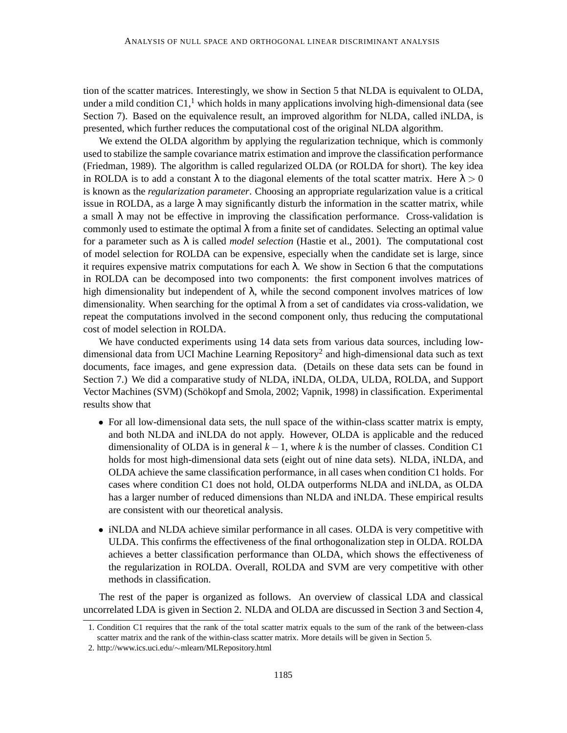tion of the scatter matrices. Interestingly, we show in Section 5 that NLDA is equivalent to OLDA, under a mild condition  $C1$ ,<sup>1</sup> which holds in many applications involving high-dimensional data (see Section 7). Based on the equivalence result, an improved algorithm for NLDA, called iNLDA, is presented, which further reduces the computational cost of the original NLDA algorithm.

We extend the OLDA algorithm by applying the regularization technique, which is commonly used to stabilize the sample covariance matrix estimation and improve the classification performance (Friedman, 1989). The algorithm is called regularized OLDA (or ROLDA for short). The key idea in ROLDA is to add a constant  $\lambda$  to the diagonal elements of the total scatter matrix. Here  $\lambda > 0$ is known as the *regularization parameter*. Choosing an appropriate regularization value is a critical issue in ROLDA, as a large  $\lambda$  may significantly disturb the information in the scatter matrix, while a small  $\lambda$  may not be effective in improving the classification performance. Cross-validation is commonly used to estimate the optimal  $\lambda$  from a finite set of candidates. Selecting an optimal value for a parameter such as λ is called *model selection* (Hastie et al., 2001). The computational cost of model selection for ROLDA can be expensive, especially when the candidate set is large, since it requires expensive matrix computations for each  $\lambda$ . We show in Section 6 that the computations in ROLDA can be decomposed into two components: the first component involves matrices of high dimensionality but independent of  $\lambda$ , while the second component involves matrices of low dimensionality. When searching for the optimal  $\lambda$  from a set of candidates via cross-validation, we repeat the computations involved in the second component only, thus reducing the computational cost of model selection in ROLDA.

We have conducted experiments using 14 data sets from various data sources, including lowdimensional data from UCI Machine Learning Repository<sup>2</sup> and high-dimensional data such as text documents, face images, and gene expression data. (Details on these data sets can be found in Section 7.) We did a comparative study of NLDA, iNLDA, OLDA, ULDA, ROLDA, and Support Vector Machines (SVM) (Schökopf and Smola, 2002; Vapnik, 1998) in classification. Experimental results show that

- For all low-dimensional data sets, the null space of the within-class scatter matrix is empty, and both NLDA and iNLDA do not apply. However, OLDA is applicable and the reduced dimensionality of OLDA is in general  $k - 1$ , where k is the number of classes. Condition C1 holds for most high-dimensional data sets (eight out of nine data sets). NLDA, iNLDA, and OLDA achieve the same classification performance, in all cases when condition C1 holds. For cases where condition C1 does not hold, OLDA outperforms NLDA and iNLDA, as OLDA has a larger number of reduced dimensions than NLDA and iNLDA. These empirical results are consistent with our theoretical analysis.
- iNLDA and NLDA achieve similar performance in all cases. OLDA is very competitive with ULDA. This confirms the effectiveness of the final orthogonalization step in OLDA. ROLDA achieves a better classification performance than OLDA, which shows the effectiveness of the regularization in ROLDA. Overall, ROLDA and SVM are very competitive with other methods in classification.

The rest of the paper is organized as follows. An overview of classical LDA and classical uncorrelated LDA is given in Section 2. NLDA and OLDA are discussed in Section 3 and Section 4,

<sup>1.</sup> Condition C1 requires that the rank of the total scatter matrix equals to the sum of the rank of the between-class scatter matrix and the rank of the within-class scatter matrix. More details will be given in Section 5.

<sup>2.</sup> http://www.ics.uci.edu/∼mlearn/MLRepository.html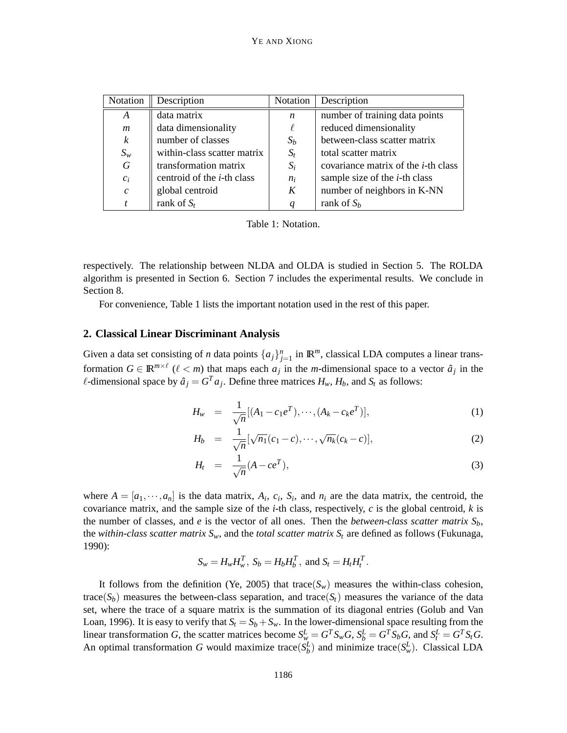| Notation                    | Description                        | Notation         | Description                                 |
|-----------------------------|------------------------------------|------------------|---------------------------------------------|
| A                           | data matrix                        | $\boldsymbol{n}$ | number of training data points              |
| $\mathfrak{m}$              | data dimensionality                |                  | reduced dimensionality                      |
| $\boldsymbol{k}$            | number of classes                  | $S_b$            | between-class scatter matrix                |
| $S_w$                       | within-class scatter matrix        | $S_t$            | total scatter matrix                        |
| $\boldsymbol{G}$            | transformation matrix              | $S_i$            | covariance matrix of the <i>i</i> -th class |
| $c_i$                       | centroid of the <i>i</i> -th class | $n_i$            | sample size of the $i$ -th class            |
| $\mathcal{C}_{\mathcal{C}}$ | global centroid                    | K                | number of neighbors in K-NN                 |
|                             | rank of $S_t$                      |                  | rank of $S_h$                               |

Table 1: Notation.

respectively. The relationship between NLDA and OLDA is studied in Section 5. The ROLDA algorithm is presented in Section 6. Section 7 includes the experimental results. We conclude in Section 8.

For convenience, Table 1 lists the important notation used in the rest of this paper.

### **2. Classical Linear Discriminant Analysis**

Given a data set consisting of *n* data points  $\{a_j\}_{j=1}^n$  in  $\mathbb{R}^m$ , classical LDA computes a linear transformation  $G \in \mathbb{R}^{m \times \ell}$  ( $\ell < m$ ) that maps each  $a_j$  in the *m*-dimensional space to a vector  $\hat{a}_j$  in the  $\ell$ -dimensional space by  $\hat{a}_j = G^T a_j$ . Define three matrices  $H_w$ ,  $H_b$ , and  $S_t$  as follows:

$$
H_w = \frac{1}{\sqrt{n}} [(A_1 - c_1 e^T), \cdots, (A_k - c_k e^T)], \qquad (1)
$$

$$
H_b = \frac{1}{\sqrt{n}} [\sqrt{n_1}(c_1 - c), \cdots, \sqrt{n_k}(c_k - c)], \qquad (2)
$$

$$
H_t = \frac{1}{\sqrt{n}}(A - ce^T), \tag{3}
$$

where  $A = [a_1, \dots, a_n]$  is the data matrix,  $A_i$ ,  $c_i$ ,  $S_i$ , and  $n_i$  are the data matrix, the centroid, the covariance matrix, and the sample size of the *i*-th class, respectively, *c* is the global centroid, *k* is the number of classes, and *e* is the vector of all ones. Then the *between-class scatter matrix*  $S_b$ , the *within-class scatter matrix*  $S_w$ , and the *total scatter matrix*  $S_t$  are defined as follows (Fukunaga, 1990):

$$
S_w = H_w H_w^T, S_b = H_b H_b^T, \text{ and } S_t = H_t H_t^T.
$$

It follows from the definition (Ye, 2005) that trace( $S_w$ ) measures the within-class cohesion, trace( $S_b$ ) measures the between-class separation, and trace( $S_t$ ) measures the variance of the data set, where the trace of a square matrix is the summation of its diagonal entries (Golub and Van Loan, 1996). It is easy to verify that  $S_t = S_b + S_w$ . In the lower-dimensional space resulting from the linear transformation G, the scatter matrices become  $S_w^L = G^T S_w G$ ,  $S_b^L = G^T S_b G$ , and  $S_t^L = G^T S_t G$ . An optimal transformation *G* would maximize trace( $S_b^L$ ) and minimize trace( $S_w^L$ ). Classical LDA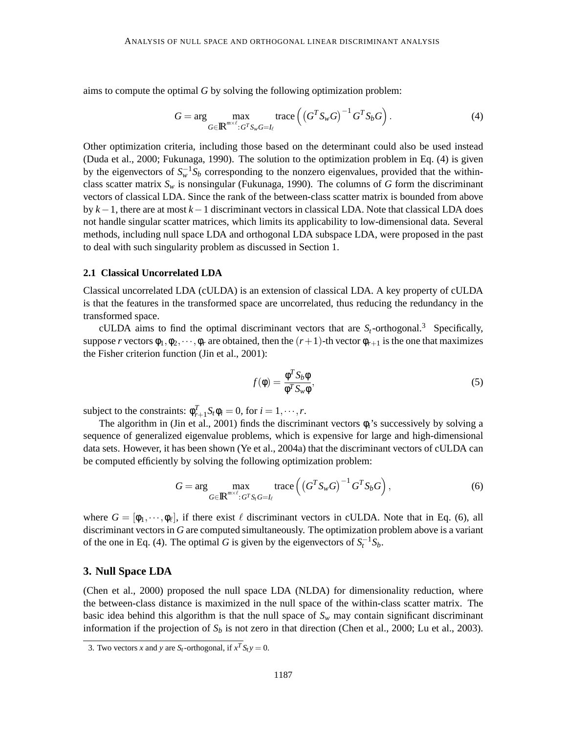aims to compute the optimal *G* by solving the following optimization problem:

$$
G = \arg\max_{G \in \mathbb{R}^{m \times \ell}: G^T S_w G = I_\ell} \text{trace}\left(\left(G^T S_w G\right)^{-1} G^T S_b G\right). \tag{4}
$$

Other optimization criteria, including those based on the determinant could also be used instead (Duda et al., 2000; Fukunaga, 1990). The solution to the optimization problem in Eq. (4) is given by the eigenvectors of  $S_w^{-1}S_b$  corresponding to the nonzero eigenvalues, provided that the withinclass scatter matrix  $S_w$  is nonsingular (Fukunaga, 1990). The columns of *G* form the discriminant vectors of classical LDA. Since the rank of the between-class scatter matrix is bounded from above by *k*−1, there are at most *k*−1 discriminant vectors in classical LDA. Note that classical LDA does not handle singular scatter matrices, which limits its applicability to low-dimensional data. Several methods, including null space LDA and orthogonal LDA subspace LDA, were proposed in the past to deal with such singularity problem as discussed in Section 1.

#### **2.1 Classical Uncorrelated LDA**

Classical uncorrelated LDA (cULDA) is an extension of classical LDA. A key property of cULDA is that the features in the transformed space are uncorrelated, thus reducing the redundancy in the transformed space.

cULDA aims to find the optimal discriminant vectors that are  $S_t$ -orthogonal.<sup>3</sup> Specifically, suppose *r* vectors  $\phi_1, \phi_2, \dots, \phi_r$  are obtained, then the  $(r+1)$ -th vector  $\phi_{r+1}$  is the one that maximizes the Fisher criterion function (Jin et al., 2001):

$$
f(\phi) = \frac{\phi^T S_b \phi}{\phi^T S_w \phi},\tag{5}
$$

subject to the constraints:  $\phi_{r+1}^T S_r \phi_i = 0$ , for  $i = 1, \dots, r$ .

The algorithm in (Jin et al., 2001) finds the discriminant vectors φ*i*'s successively by solving a sequence of generalized eigenvalue problems, which is expensive for large and high-dimensional data sets. However, it has been shown (Ye et al., 2004a) that the discriminant vectors of cULDA can be computed efficiently by solving the following optimization problem:

$$
G = \arg\max_{G \in \mathbb{R}^{m \times \ell}: G^T S_i G = I_\ell} \text{trace}\left(\left(G^T S_w G\right)^{-1} G^T S_b G\right),\tag{6}
$$

where  $G = [\phi_1, \dots, \phi_\ell]$ , if there exist  $\ell$  discriminant vectors in cULDA. Note that in Eq. (6), all discriminant vectors in *G* are computed simultaneously. The optimization problem above is a variant of the one in Eq. (4). The optimal *G* is given by the eigenvectors of  $S_t^{-1}S_b$ .

### **3. Null Space LDA**

(Chen et al., 2000) proposed the null space LDA (NLDA) for dimensionality reduction, where the between-class distance is maximized in the null space of the within-class scatter matrix. The basic idea behind this algorithm is that the null space of  $S_w$  may contain significant discriminant information if the projection of  $S_b$  is not zero in that direction (Chen et al., 2000; Lu et al., 2003).

<sup>3.</sup> Two vectors *x* and *y* are  $S_t$ -orthogonal, if  $x^T S_t y = 0$ .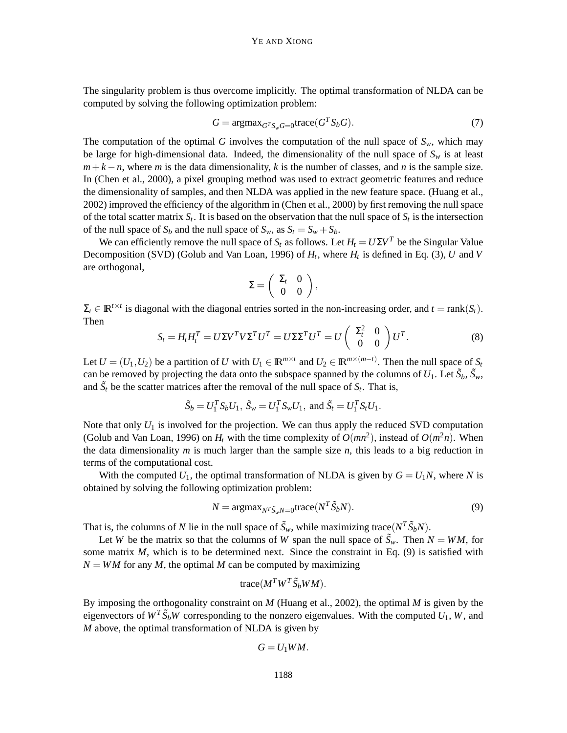The singularity problem is thus overcome implicitly. The optimal transformation of NLDA can be computed by solving the following optimization problem:

$$
G = \text{argmax}_{G^T S_w G = 0} \text{trace}(G^T S_b G). \tag{7}
$$

The computation of the optimal *G* involves the computation of the null space of  $S_w$ , which may be large for high-dimensional data. Indeed, the dimensionality of the null space of  $S_w$  is at least  $m+k-n$ , where *m* is the data dimensionality, *k* is the number of classes, and *n* is the sample size. In (Chen et al., 2000), a pixel grouping method was used to extract geometric features and reduce the dimensionality of samples, and then NLDA was applied in the new feature space. (Huang et al., 2002) improved the efficiency of the algorithm in (Chen et al., 2000) by first removing the null space of the total scatter matrix  $S_t$ . It is based on the observation that the null space of  $S_t$  is the intersection of the null space of  $S_b$  and the null space of  $S_w$ , as  $S_t = S_w + S_b$ .

We can efficiently remove the null space of  $S_t$  as follows. Let  $H_t = U \Sigma V^T$  be the Singular Value Decomposition (SVD) (Golub and Van Loan, 1996) of *H<sup>t</sup>* , where *H<sup>t</sup>* is defined in Eq. (3), *U* and *V* are orthogonal,

$$
\Sigma = \left( \begin{array}{cc} \Sigma_t & 0 \\ 0 & 0 \end{array} \right),
$$

 $\Sigma_t \in \mathbb{R}^{t \times t}$  is diagonal with the diagonal entries sorted in the non-increasing order, and  $t = \text{rank}(S_t)$ . Then

$$
S_t = H_t H_t^T = U \Sigma V^T V \Sigma^T U^T = U \Sigma \Sigma^T U^T = U \begin{pmatrix} \Sigma_t^2 & 0 \\ 0 & 0 \end{pmatrix} U^T.
$$
 (8)

Let  $U = (U_1, U_2)$  be a partition of *U* with  $U_1 \in \mathbb{R}^{m \times t}$  and  $U_2 \in \mathbb{R}^{m \times (m-t)}$ . Then the null space of  $S_t$ can be removed by projecting the data onto the subspace spanned by the columns of  $U_1$ . Let  $\tilde{S}_b$ ,  $\tilde{S}_w$ , and  $\tilde{S}_t$  be the scatter matrices after the removal of the null space of  $S_t$ . That is,

$$
\tilde{S}_b = U_1^T S_b U_1
$$
,  $\tilde{S}_w = U_1^T S_w U_1$ , and  $\tilde{S}_t = U_1^T S_t U_1$ .

Note that only  $U_1$  is involved for the projection. We can thus apply the reduced SVD computation (Golub and Van Loan, 1996) on  $H_t$  with the time complexity of  $O(mn^2)$ , instead of  $O(m^2n)$ . When the data dimensionality *m* is much larger than the sample size *n*, this leads to a big reduction in terms of the computational cost.

With the computed  $U_1$ , the optimal transformation of NLDA is given by  $G = U_1N$ , where N is obtained by solving the following optimization problem:

$$
N = \operatorname{argmax}_{N^T \tilde{S}_w N = 0} \operatorname{trace}(N^T \tilde{S}_b N). \tag{9}
$$

That is, the columns of *N* lie in the null space of  $\tilde{S}_w$ , while maximizing trace( $N^T \tilde{S}_b N$ ).

Let *W* be the matrix so that the columns of *W* span the null space of  $\tilde{S}_w$ . Then  $N = WM$ , for some matrix *M*, which is to be determined next. Since the constraint in Eq. (9) is satisfied with  $N = WM$  for any M, the optimal M can be computed by maximizing

$$
trace(M^T W^T \tilde{S}_b W M).
$$

By imposing the orthogonality constraint on *M* (Huang et al., 2002), the optimal *M* is given by the eigenvectors of  $W^T \tilde{S}_b W$  corresponding to the nonzero eigenvalues. With the computed  $U_1$ ,  $W$ , and *M* above, the optimal transformation of NLDA is given by

$$
G=U_1WM.
$$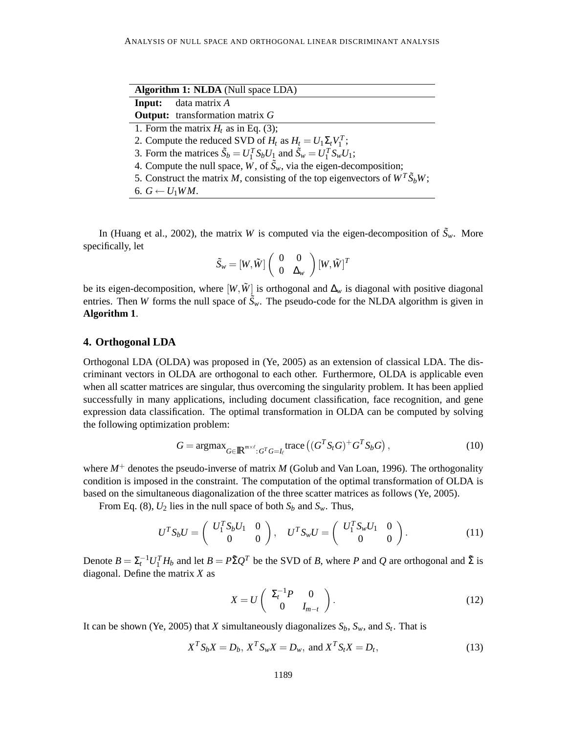| Algorithm 1: NLDA (Null space LDA)                                                     |  |  |  |  |  |
|----------------------------------------------------------------------------------------|--|--|--|--|--|
| data matrix A<br>Input:                                                                |  |  |  |  |  |
| <b>Output:</b> transformation matrix $G$                                               |  |  |  |  |  |
| 1. Form the matrix $H_t$ as in Eq. (3);                                                |  |  |  |  |  |
| 2. Compute the reduced SVD of $H_t$ as $H_t = U_1 \Sigma_t V_1^T$ ;                    |  |  |  |  |  |
| 3. Form the matrices $\tilde{S}_b = U_1^T S_b U_1$ and $\tilde{S}_w = U_1^T S_w U_1$ ; |  |  |  |  |  |
| 4. Compute the null space, W, of $\tilde{S}_w$ , via the eigen-decomposition;          |  |  |  |  |  |
| 5. Construct the matrix M, consisting of the top eigenvectors of $W^T \tilde{S}_b W$ ; |  |  |  |  |  |
| 6. $G \leftarrow U_1 W M$ .                                                            |  |  |  |  |  |

In (Huang et al., 2002), the matrix *W* is computed via the eigen-decomposition of  $\tilde{S}_w$ . More specifically, let

$$
\tilde{S}_{\scriptscriptstyle W} = [W,\tilde{W}]\left(\begin{array}{cc} 0 & 0 \\ 0 & \Delta_{\scriptscriptstyle W} \end{array}\right)[W,\tilde{W}]^T
$$

be its eigen-decomposition, where  $[W,\tilde{W}]$  is orthogonal and  $\Delta_W$  is diagonal with positive diagonal entries. Then *W* forms the null space of  $\tilde{S}_w$ . The pseudo-code for the NLDA algorithm is given in **Algorithm 1**.

### **4. Orthogonal LDA**

Orthogonal LDA (OLDA) was proposed in (Ye, 2005) as an extension of classical LDA. The discriminant vectors in OLDA are orthogonal to each other. Furthermore, OLDA is applicable even when all scatter matrices are singular, thus overcoming the singularity problem. It has been applied successfully in many applications, including document classification, face recognition, and gene expression data classification. The optimal transformation in OLDA can be computed by solving the following optimization problem:

$$
G = \operatorname{argmax}_{G \in \mathbb{R}^{m \times \ell} : G^T G = I_\ell} \operatorname{trace} \left( (G^T S_\ell G)^+ G^T S_\ell G \right),\tag{10}
$$

where  $M^+$  denotes the pseudo-inverse of matrix  $M$  (Golub and Van Loan, 1996). The orthogonality condition is imposed in the constraint. The computation of the optimal transformation of OLDA is based on the simultaneous diagonalization of the three scatter matrices as follows (Ye, 2005).

From Eq. (8),  $U_2$  lies in the null space of both  $S_b$  and  $S_w$ . Thus,

$$
U^{T}S_{b}U = \begin{pmatrix} U_{1}^{T}S_{b}U_{1} & 0\\ 0 & 0 \end{pmatrix}, U^{T}S_{w}U = \begin{pmatrix} U_{1}^{T}S_{w}U_{1} & 0\\ 0 & 0 \end{pmatrix}.
$$
 (11)

Denote  $B = \Sigma_t^{-1} U_1^T H_b$  and let  $B = P\tilde{\Sigma} Q^T$  be the SVD of *B*, where *P* and *Q* are orthogonal and  $\tilde{\Sigma}$  is diagonal. Define the matrix *X* as

$$
X = U \begin{pmatrix} \Sigma_t^{-1} P & 0 \\ 0 & I_{m-t} \end{pmatrix}.
$$
 (12)

It can be shown (Ye, 2005) that *X* simultaneously diagonalizes *Sb*, *Sw*, and *S<sup>t</sup>* . That is

$$
X^{T} S_{b} X = D_{b}, X^{T} S_{w} X = D_{w}, \text{ and } X^{T} S_{t} X = D_{t},
$$
\n(13)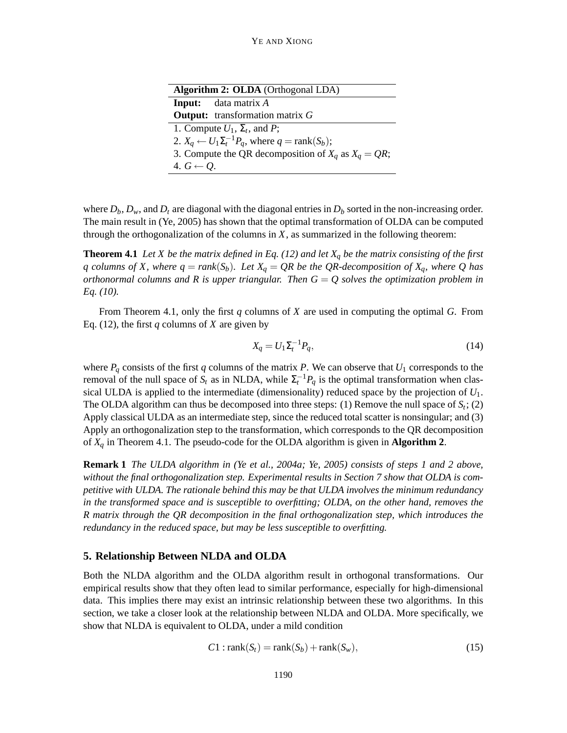| <b>Algorithm 2: OLDA</b> (Orthogonal LDA)                                  |  |  |  |  |  |  |
|----------------------------------------------------------------------------|--|--|--|--|--|--|
| <b>Input:</b> data matrix A                                                |  |  |  |  |  |  |
| <b>Output:</b> transformation matrix $G$                                   |  |  |  |  |  |  |
| 1. Compute $U_1$ , $\Sigma_t$ , and P;                                     |  |  |  |  |  |  |
| 2. $X_q \leftarrow U_1 \Sigma_t^{-1} P_q$ , where $q = \text{rank}(S_b)$ ; |  |  |  |  |  |  |
| 3. Compute the QR decomposition of $X_a$ as $X_a = QR$ ;                   |  |  |  |  |  |  |
| 4. $G \leftarrow O$ .                                                      |  |  |  |  |  |  |

where  $D_b$ ,  $D_w$ , and  $D_t$  are diagonal with the diagonal entries in  $D_b$  sorted in the non-increasing order. The main result in (Ye, 2005) has shown that the optimal transformation of OLDA can be computed through the orthogonalization of the columns in  $X$ , as summarized in the following theorem:

**Theorem 4.1** *Let X be the matrix defined in Eq. (12) and let X<sup>q</sup> be the matrix consisting of the first q* columns of X, where  $q = rank(S_b)$ . Let  $X_q = QR$  be the QR-decomposition of  $X_q$ , where Q has *orthonormal columns and R is upper triangular. Then G* = *Q solves the optimization problem in Eq. (10).*

From Theorem 4.1, only the first *q* columns of *X* are used in computing the optimal *G*. From Eq. (12), the first *q* columns of *X* are given by

$$
X_q = U_1 \Sigma_t^{-1} P_q,\tag{14}
$$

where  $P_q$  consists of the first *q* columns of the matrix *P*. We can observe that  $U_1$  corresponds to the removal of the null space of  $S_t$  as in NLDA, while  $\Sigma_t^{-1}P_q$  is the optimal transformation when classical ULDA is applied to the intermediate (dimensionality) reduced space by the projection of *U*1. The OLDA algorithm can thus be decomposed into three steps: (1) Remove the null space of  $S_t$ ; (2) Apply classical ULDA as an intermediate step, since the reduced total scatter is nonsingular; and (3) Apply an orthogonalization step to the transformation, which corresponds to the QR decomposition of *X<sup>q</sup>* in Theorem 4.1. The pseudo-code for the OLDA algorithm is given in **Algorithm 2**.

**Remark 1** *The ULDA algorithm in (Ye et al., 2004a; Ye, 2005) consists of steps 1 and 2 above, without the final orthogonalization step. Experimental results in Section 7 show that OLDA is competitive with ULDA. The rationale behind this may be that ULDA involves the minimum redundancy in the transformed space and is susceptible to overfitting; OLDA, on the other hand, removes the R matrix through the QR decomposition in the final orthogonalization step, which introduces the redundancy in the reduced space, but may be less susceptible to overfitting.*

#### **5. Relationship Between NLDA and OLDA**

Both the NLDA algorithm and the OLDA algorithm result in orthogonal transformations. Our empirical results show that they often lead to similar performance, especially for high-dimensional data. This implies there may exist an intrinsic relationship between these two algorithms. In this section, we take a closer look at the relationship between NLDA and OLDA. More specifically, we show that NLDA is equivalent to OLDA, under a mild condition

$$
C1: rank(St) = rank(Sb) + rank(Sw),
$$
\n(15)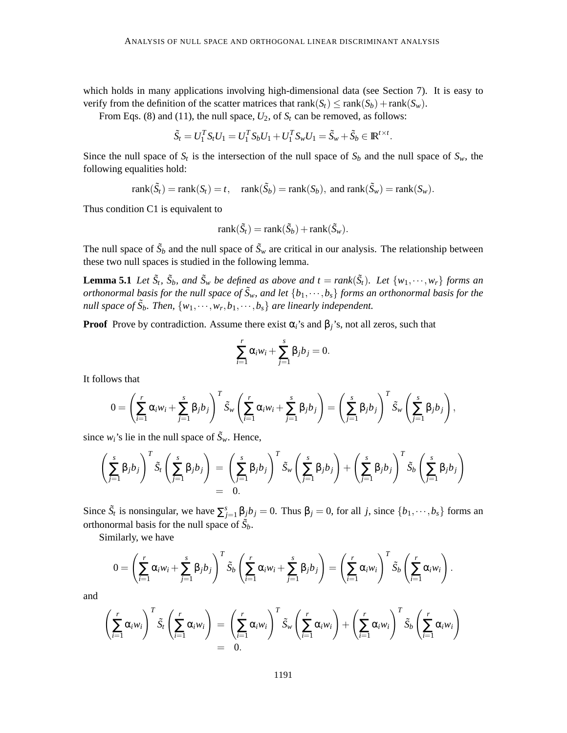which holds in many applications involving high-dimensional data (see Section 7). It is easy to verify from the definition of the scatter matrices that rank( $S_t$ )  $\leq$  rank( $S_b$ ) + rank( $S_w$ ).

From Eqs. (8) and (11), the null space,  $U_2$ , of  $S_t$  can be removed, as follows:

$$
\tilde{S}_t = U_1^T S_t U_1 = U_1^T S_b U_1 + U_1^T S_w U_1 = \tilde{S}_w + \tilde{S}_b \in \mathbb{R}^{t \times t}.
$$

Since the null space of  $S_t$  is the intersection of the null space of  $S_b$  and the null space of  $S_w$ , the following equalities hold:

 $rank(\tilde{S}_t) = rank(S_t) = t$ ,  $rank(\tilde{S}_b) = rank(S_b)$ , and  $rank(\tilde{S}_w) = rank(S_w)$ .

Thus condition C1 is equivalent to

$$
rank(\tilde{S}_t) = rank(\tilde{S}_b) + rank(\tilde{S}_w).
$$

The null space of  $\tilde{S}_b$  and the null space of  $\tilde{S}_w$  are critical in our analysis. The relationship between these two null spaces is studied in the following lemma.

**Lemma 5.1** Let  $\tilde{S}_t$ ,  $\tilde{S}_b$ , and  $\tilde{S}_w$  be defined as above and  $t = rank(\tilde{S}_t)$ . Let  $\{w_1, \dots, w_r\}$  forms an *orthonormal basis for the null space of*  $\tilde{S}_w$ , and let  $\{b_1,\cdots,b_s\}$  *forms an orthonormal basis for the null space of*  $\tilde{S}_b$ . Then,  $\{w_1, \dots, w_r, b_1, \dots, b_s\}$  are linearly independent.

**Proof** Prove by contradiction. Assume there exist  $\alpha_i$ 's and  $\beta_i$ 's, not all zeros, such that

$$
\sum_{i=1}^r \alpha_i w_i + \sum_{j=1}^s \beta_j b_j = 0.
$$

It follows that

$$
0 = \left(\sum_{i=1}^r \alpha_i w_i + \sum_{j=1}^s \beta_j b_j\right)^T \tilde{S}_w \left(\sum_{i=1}^r \alpha_i w_i + \sum_{j=1}^s \beta_j b_j\right) = \left(\sum_{j=1}^s \beta_j b_j\right)^T \tilde{S}_w \left(\sum_{j=1}^s \beta_j b_j\right),
$$

since  $w_i$ 's lie in the null space of  $\tilde{S}_w$ . Hence,

$$
\left(\sum_{j=1}^s \beta_j b_j\right)^T \tilde{S}_t \left(\sum_{j=1}^s \beta_j b_j\right) = \left(\sum_{j=1}^s \beta_j b_j\right)^T \tilde{S}_w \left(\sum_{j=1}^s \beta_j b_j\right) + \left(\sum_{j=1}^s \beta_j b_j\right)^T \tilde{S}_b \left(\sum_{j=1}^s \beta_j b_j\right) = 0.
$$

Since  $\tilde{S}_t$  is nonsingular, we have  $\sum_{j=1}^s \beta_j b_j = 0$ . Thus  $\beta_j = 0$ , for all *j*, since  $\{b_1, \dots, b_s\}$  forms an orthonormal basis for the null space of  $\tilde{S}_b$ .

Similarly, we have

$$
0 = \left(\sum_{i=1}^r \alpha_i w_i + \sum_{j=1}^s \beta_j b_j\right)^T \tilde{S}_b\left(\sum_{i=1}^r \alpha_i w_i + \sum_{j=1}^s \beta_j b_j\right) = \left(\sum_{i=1}^r \alpha_i w_i\right)^T \tilde{S}_b\left(\sum_{i=1}^r \alpha_i w_i\right).
$$

and

$$
\left(\sum_{i=1}^r \alpha_i w_i\right)^T \tilde{S}_t \left(\sum_{i=1}^r \alpha_i w_i\right) = \left(\sum_{i=1}^r \alpha_i w_i\right)^T \tilde{S}_w \left(\sum_{i=1}^r \alpha_i w_i\right) + \left(\sum_{i=1}^r \alpha_i w_i\right)^T \tilde{S}_b \left(\sum_{i=1}^r \alpha_i w_i\right) = 0.
$$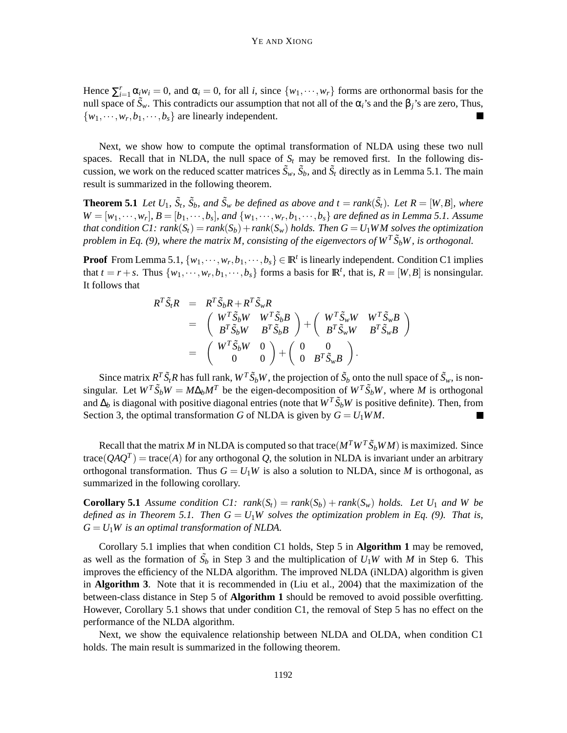Hence  $\sum_{i=1}^{r} \alpha_i w_i = 0$ , and  $\alpha_i = 0$ , for all *i*, since  $\{w_1, \dots, w_r\}$  forms are orthonormal basis for the null space of  $\tilde{S}_w$ . This contradicts our assumption that not all of the  $\alpha_i$ 's and the  $\beta_j$ 's are zero, Thus,  $\{w_1, \dots, w_r, b_1, \dots, b_s\}$  are linearly independent.  $\blacksquare$ 

Next, we show how to compute the optimal transformation of NLDA using these two null spaces. Recall that in NLDA, the null space of  $S_t$  may be removed first. In the following discussion, we work on the reduced scatter matrices  $\tilde{S}_w$ ,  $\tilde{S}_b$ , and  $\tilde{S}_t$  directly as in Lemma 5.1. The main result is summarized in the following theorem.

**Theorem 5.1** Let  $U_1$ ,  $\tilde{S}_t$ ,  $\tilde{S}_b$ , and  $\tilde{S}_w$  be defined as above and  $t = rank(\tilde{S}_t)$ . Let  $R = [W, B]$ , where  $W = [w_1, \dots, w_r], B = [b_1, \dots, b_s],$  and  $\{w_1, \dots, w_r, b_1, \dots, b_s\}$  are defined as in Lemma 5.1. Assume *that condition C1:*  $rank(S_t) = rank(S_b) + rank(S_w)$  *holds. Then*  $G = U_1WM$  *solves the optimization problem in Eq. (9), where the matrix M, consisting of the eigenvectors of*  $W^T \tilde{S}_b W$ *, is orthogonal.* 

**Proof** From Lemma 5.1,  $\{w_1, \dots, w_r, b_1, \dots, b_s\} \in \mathbb{R}^t$  is linearly independent. Condition C1 implies that  $t = r + s$ . Thus  $\{w_1, \dots, w_r, b_1, \dots, b_s\}$  forms a basis for  $\mathbb{R}^t$ , that is,  $R = [W, B]$  is nonsingular. It follows that

$$
R^T \tilde{S}_t R = R^T \tilde{S}_b R + R^T \tilde{S}_w R
$$
  
=  $\begin{pmatrix} W^T \tilde{S}_b W & W^T \tilde{S}_b B \\ B^T \tilde{S}_b W & B^T \tilde{S}_b B \end{pmatrix} + \begin{pmatrix} W^T \tilde{S}_w W & W^T \tilde{S}_w B \\ B^T \tilde{S}_w W & B^T \tilde{S}_w B \end{pmatrix}$   
=  $\begin{pmatrix} W^T \tilde{S}_b W & 0 \\ 0 & 0 \end{pmatrix} + \begin{pmatrix} 0 & 0 \\ 0 & B^T \tilde{S}_w B \end{pmatrix}.$ 

Since matrix  $R^T \tilde{S}_t R$  has full rank,  $W^T \tilde{S}_b W$ , the projection of  $\tilde{S}_b$  onto the null space of  $\tilde{S}_w$ , is nonsingular. Let  $W^T \tilde{S}_b W = M \Delta_b M^T$  be the eigen-decomposition of  $W^T \tilde{S}_b W$ , where *M* is orthogonal and  $\Delta_b$  is diagonal with positive diagonal entries (note that  $W^T \tilde{S}_b W$  is positive definite). Then, from Section 3, the optimal transformation *G* of NLDA is given by  $G = U_1 W M$ .

Recall that the matrix *M* in NLDA is computed so that trace( $M^T W^T \tilde{S}_b W M$ ) is maximized. Since trace( $QAQ^{T}$ ) = trace(A) for any orthogonal Q, the solution in NLDA is invariant under an arbitrary orthogonal transformation. Thus  $G = U_1W$  is also a solution to NLDA, since *M* is orthogonal, as summarized in the following corollary.

**Corollary 5.1** *Assume condition C1:*  $rank(S_t) = rank(S_b) + rank(S_w)$  *holds. Let*  $U_1$  *and* W be *defined as in Theorem 5.1. Then*  $G = U_1W$  *solves the optimization problem in Eq. (9). That is,*  $G = U_1W$  *is an optimal transformation of NLDA.* 

Corollary 5.1 implies that when condition C1 holds, Step 5 in **Algorithm 1** may be removed, as well as the formation of  $\tilde{S}_b$  in Step 3 and the multiplication of  $U_1W$  with *M* in Step 6. This improves the efficiency of the NLDA algorithm. The improved NLDA (iNLDA) algorithm is given in **Algorithm 3**. Note that it is recommended in (Liu et al., 2004) that the maximization of the between-class distance in Step 5 of **Algorithm 1** should be removed to avoid possible overfitting. However, Corollary 5.1 shows that under condition C1, the removal of Step 5 has no effect on the performance of the NLDA algorithm.

Next, we show the equivalence relationship between NLDA and OLDA, when condition C1 holds. The main result is summarized in the following theorem.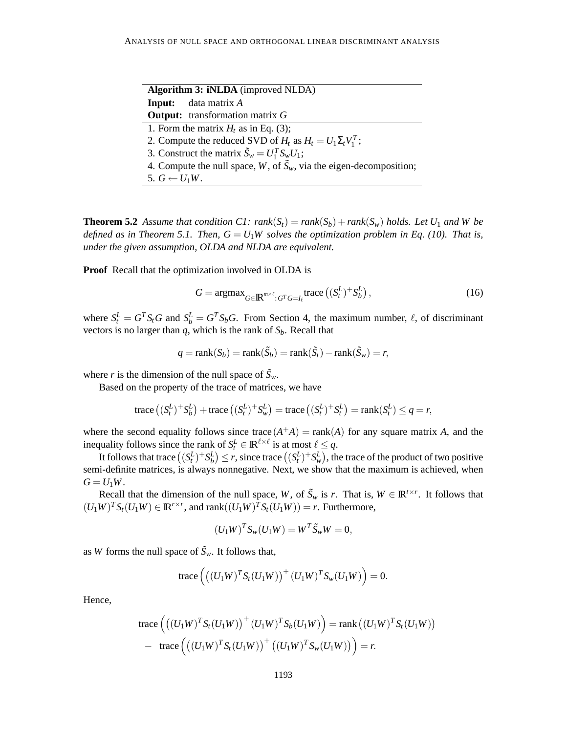| <b>Algorithm 3: iNLDA</b> (improved NLDA) |                                                                               |  |  |  |  |
|-------------------------------------------|-------------------------------------------------------------------------------|--|--|--|--|
|                                           | <b>Input:</b> data matrix A                                                   |  |  |  |  |
|                                           | <b>Output:</b> transformation matrix $G$                                      |  |  |  |  |
|                                           | 1. Form the matrix $H_t$ as in Eq. (3);                                       |  |  |  |  |
|                                           | 2. Compute the reduced SVD of $H_t$ as $H_t = U_1 \Sigma_t V_1^T$ ;           |  |  |  |  |
|                                           | 3. Construct the matrix $\tilde{S}_w = U_1^T S_w U_1$ ;                       |  |  |  |  |
|                                           | 4. Compute the null space, W, of $\tilde{S}_w$ , via the eigen-decomposition; |  |  |  |  |
| 5. $G \leftarrow U_1 W$ .                 |                                                                               |  |  |  |  |

**Theorem 5.2** *Assume that condition C1:*  $rank(S_t) = rank(S_b) + rank(S_w)$  *holds. Let*  $U_1$  *and* W be *defined as in Theorem 5.1. Then,*  $G = U_1W$  *solves the optimization problem in Eq. (10). That is, under the given assumption, OLDA and NLDA are equivalent.*

**Proof** Recall that the optimization involved in OLDA is

$$
G = \operatorname{argmax}_{G \in \mathbb{R}^{m \times \ell} : G^T G = I_\ell} \operatorname{trace} \left( (S^L_t)^+ S^L_b \right),\tag{16}
$$

where  $S_t^L = G^T S_t G$  and  $S_b^L = G^T S_b G$ . From Section 4, the maximum number,  $\ell$ , of discriminant vectors is no larger than  $q$ , which is the rank of  $S_b$ . Recall that

$$
q = \text{rank}(S_b) = \text{rank}(\tilde{S}_b) = \text{rank}(\tilde{S}_t) - \text{rank}(\tilde{S}_w) = r,
$$

where *r* is the dimension of the null space of  $\tilde{S}_w$ .

Based on the property of the trace of matrices, we have

trace 
$$
((S_t^L)^+ S_b^L)
$$
 + trace  $((S_t^L)^+ S_w^L)$  = trace  $((S_t^L)^+ S_t^L)$  = rank $(S_t^L) \le q = r$ ,

where the second equality follows since trace  $(A^+A)$  = rank $(A)$  for any square matrix *A*, and the inequality follows since the rank of  $S_t^L \in \mathbb{R}^{\ell \times \ell}$  is at most  $\ell \leq q$ .

It follows that trace  $((S_t^L)^+ S_b^L) \le r$ , since trace  $((S_t^L)^+ S_w^L)$ , the trace of the product of two positive semi-definite matrices, is always nonnegative. Next, we show that the maximum is achieved, when  $G = U_1W$ .

Recall that the dimension of the null space, *W*, of  $\tilde{S}_w$  is *r*. That is,  $W \in \mathbb{R}^{t \times r}$ . It follows that  $(U_1W)^T S_t (U_1W) \in \mathbb{R}^{r \times r}$ , and rank $((U_1W)^T S_t (U_1W)) = r$ . Furthermore,

$$
(U_1W)^T S_w (U_1W) = W^T \tilde{S}_w W = 0,
$$

as *W* forms the null space of  $\tilde{S}_w$ . It follows that,

trace
$$
((U_1 W)^T S_t (U_1 W))^+(U_1 W)^T S_w (U_1 W)) = 0.
$$

Hence,

trace 
$$
((U_1 W)^T S_t (U_1 W))^+(U_1 W)^T S_b (U_1 W))
$$
 = rank  $((U_1 W)^T S_t (U_1 W))$   
– trace  $((U_1 W)^T S_t (U_1 W))^+(U_1 W)^T S_w (U_1 W))$  = r.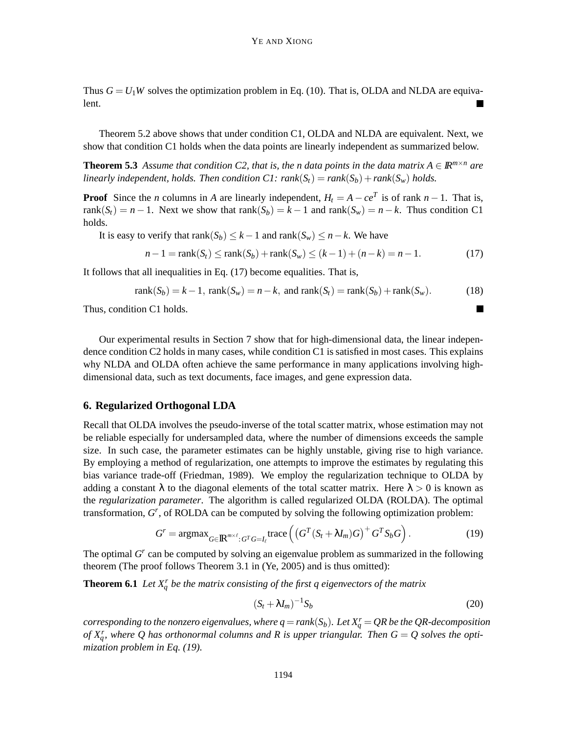Thus  $G = U_1W$  solves the optimization problem in Eq. (10). That is, OLDA and NLDA are equivalent.

Theorem 5.2 above shows that under condition C1, OLDA and NLDA are equivalent. Next, we show that condition C1 holds when the data points are linearly independent as summarized below.

**Theorem 5.3** *Assume that condition C2, that is, the n data points in the data matrix*  $A \in \mathbb{R}^{m \times n}$  *are linearly independent, holds. Then condition*  $CI: rank(S_t) = rank(S_b) + rank(S_w)$  *holds.* 

**Proof** Since the *n* columns in *A* are linearly independent,  $H_t = A - ce^T$  is of rank  $n - 1$ . That is, rank( $S_t$ ) = *n* − 1. Next we show that rank( $S_b$ ) = *k* − 1 and rank( $S_w$ ) = *n* − *k*. Thus condition C1 holds.

It is easy to verify that  $rank(S_b) \leq k - 1$  and  $rank(S_w) \leq n - k$ . We have

$$
n-1 = \text{rank}(S_t) \le \text{rank}(S_b) + \text{rank}(S_w) \le (k-1) + (n-k) = n-1. \tag{17}
$$

It follows that all inequalities in Eq. (17) become equalities. That is,

$$
rank(S_b) = k - 1, rank(S_w) = n - k, and rank(S_t) = rank(S_b) + rank(S_w).
$$
\n(18)

Thus, condition C1 holds.

Our experimental results in Section 7 show that for high-dimensional data, the linear independence condition C2 holds in many cases, while condition C1 is satisfied in most cases. This explains why NLDA and OLDA often achieve the same performance in many applications involving highdimensional data, such as text documents, face images, and gene expression data.

#### **6. Regularized Orthogonal LDA**

Recall that OLDA involves the pseudo-inverse of the total scatter matrix, whose estimation may not be reliable especially for undersampled data, where the number of dimensions exceeds the sample size. In such case, the parameter estimates can be highly unstable, giving rise to high variance. By employing a method of regularization, one attempts to improve the estimates by regulating this bias variance trade-off (Friedman, 1989). We employ the regularization technique to OLDA by adding a constant  $\lambda$  to the diagonal elements of the total scatter matrix. Here  $\lambda > 0$  is known as the *regularization parameter*. The algorithm is called regularized OLDA (ROLDA). The optimal transformation, *G*<sup>r</sup>, of ROLDA can be computed by solving the following optimization problem:

$$
Gr = \operatorname{argmax}_{G \in \mathbb{R}^{m \times \ell}: GT G = I_{\ell}} \operatorname{trace} \left( \left( GT (St + \lambda I_m) G \right)^{+} GT Sb G \right).
$$
 (19)

The optimal G<sup>r</sup> can be computed by solving an eigenvalue problem as summarized in the following theorem (The proof follows Theorem 3.1 in (Ye, 2005) and is thus omitted):

**Theorem 6.1** Let  $X_q^r$  be the matrix consisting of the first q eigenvectors of the matrix

$$
(S_t + \lambda I_m)^{-1} S_b \tag{20}
$$

 $\blacksquare$ 

 $corresponding to the nonzero eigenvalues, where  $q = rank(S_b)$ . Let  $X_q^r = QR$  be the QR-decomposition$ of  $X_q^r$ , where Q has orthonormal columns and R is upper triangular. Then  $G = Q$  solves the opti*mization problem in Eq. (19).*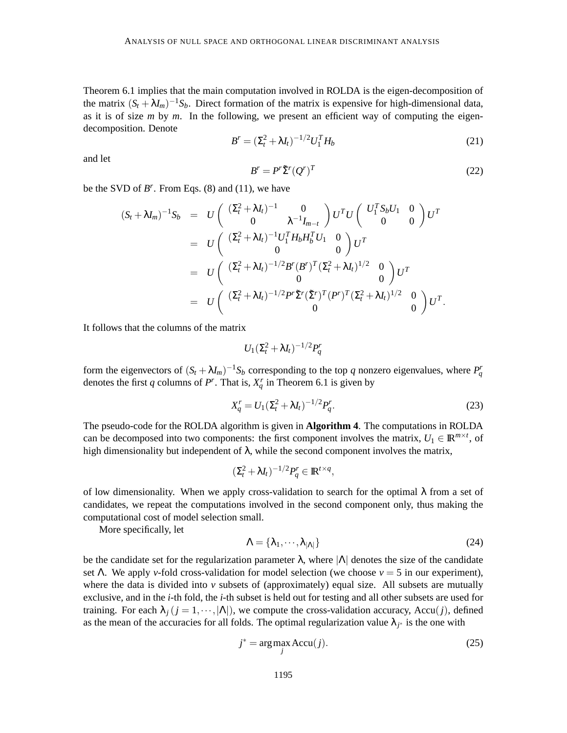Theorem 6.1 implies that the main computation involved in ROLDA is the eigen-decomposition of the matrix  $(S_t + \lambda I_m)^{-1}S_b$ . Direct formation of the matrix is expensive for high-dimensional data, as it is of size *m* by *m*. In the following, we present an efficient way of computing the eigendecomposition. Denote

$$
B^{r} = (\Sigma_{t}^{2} + \lambda I_{t})^{-1/2} U_{1}^{T} H_{b}
$$
\n(21)

and let

$$
B^r = P^r \tilde{\Sigma}^r (Q^r)^T \tag{22}
$$

be the SVD of  $B^r$ . From Eqs. (8) and (11), we have

$$
(S_t + \lambda I_m)^{-1} S_b = U \begin{pmatrix} (\Sigma_t^2 + \lambda I_t)^{-1} & 0 \\ 0 & \lambda^{-1} I_{m-t} \end{pmatrix} U^T U \begin{pmatrix} U_1^T S_b U_1 & 0 \\ 0 & 0 \end{pmatrix} U^T
$$
  
= 
$$
U \begin{pmatrix} (\Sigma_t^2 + \lambda I_t)^{-1} U_1^T H_b H_b^T U_1 & 0 \\ 0 & 0 \end{pmatrix} U^T
$$
  
= 
$$
U \begin{pmatrix} (\Sigma_t^2 + \lambda I_t)^{-1/2} B^r (B^r)^T (\Sigma_t^2 + \lambda I_t)^{1/2} & 0 \\ 0 & 0 \end{pmatrix} U^T
$$
  
= 
$$
U \begin{pmatrix} (\Sigma_t^2 + \lambda I_t)^{-1/2} P^r \tilde{\Sigma}^r (\tilde{\Sigma}^r)^T (P^r)^T (\Sigma_t^2 + \lambda I_t)^{1/2} & 0 \\ 0 & 0 \end{pmatrix} U^T.
$$

It follows that the columns of the matrix

$$
U_1(\Sigma_t^2 + \lambda I_t)^{-1/2} P_q^r
$$

form the eigenvectors of  $(S_t + \lambda I_m)^{-1}S_b$  corresponding to the top *q* nonzero eigenvalues, where  $P_q^r$ denotes the first *q* columns of  $P^r$ . That is,  $X_q^r$  in Theorem 6.1 is given by

$$
X_q^r = U_1 (\Sigma_t^2 + \lambda I_t)^{-1/2} P_q^r.
$$
\n(23)

The pseudo-code for the ROLDA algorithm is given in **Algorithm 4**. The computations in ROLDA can be decomposed into two components: the first component involves the matrix,  $U_1 \in \mathbb{R}^{m \times t}$ , of high dimensionality but independent of  $\lambda$ , while the second component involves the matrix,

$$
(\Sigma_t^2 + \lambda I_t)^{-1/2} P_q^r \in \mathbb{R}^{t \times q},
$$

of low dimensionality. When we apply cross-validation to search for the optimal  $\lambda$  from a set of candidates, we repeat the computations involved in the second component only, thus making the computational cost of model selection small.

More specifically, let

$$
\Lambda = \{\lambda_1, \cdots, \lambda_{|\Lambda|}\}\tag{24}
$$

be the candidate set for the regularization parameter  $\lambda$ , where  $|\Lambda|$  denotes the size of the candidate set Λ. We apply *v*-fold cross-validation for model selection (we choose  $v = 5$  in our experiment), where the data is divided into  $\nu$  subsets of (approximately) equal size. All subsets are mutually exclusive, and in the *i*-th fold, the *i*-th subset is held out for testing and all other subsets are used for training. For each  $\lambda_j$  ( $j = 1, \dots, |\Lambda|$ ), we compute the cross-validation accuracy, Accu(*j*), defined as the mean of the accuracies for all folds. The optimal regularization value  $\lambda_{j^*}$  is the one with

$$
j^* = \underset{j}{\text{arg}\max} \text{Accu}(j). \tag{25}
$$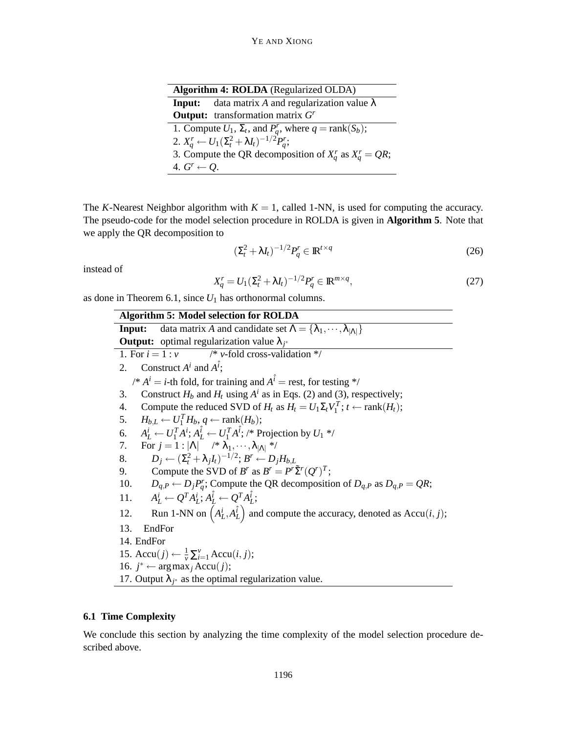| <b>Algorithm 4: ROLDA</b> (Regularized OLDA)                                 |  |  |  |  |  |  |
|------------------------------------------------------------------------------|--|--|--|--|--|--|
| <b>Input:</b> data matrix A and regularization value $\lambda$               |  |  |  |  |  |  |
| <b>Output:</b> transformation matrix $Gr$                                    |  |  |  |  |  |  |
| 1. Compute $U_1$ , $\Sigma_t$ , and $P_q^r$ , where $q = \text{rank}(S_b)$ ; |  |  |  |  |  |  |
| 2. $X_a^r \leftarrow U_1 (\Sigma_t^2 + \lambda I_t)^{-1/2} P_a^r;$           |  |  |  |  |  |  |
| 3. Compute the QR decomposition of $X_a^r$ as $X_a^r = QR$ ;                 |  |  |  |  |  |  |
| 4. $G^r \leftarrow Q$ .                                                      |  |  |  |  |  |  |

The *K*-Nearest Neighbor algorithm with  $K = 1$ , called 1-NN, is used for computing the accuracy. The pseudo-code for the model selection procedure in ROLDA is given in **Algorithm 5**. Note that we apply the QR decomposition to

$$
\left(\Sigma_t^2 + \lambda I_t\right)^{-1/2} P_q^r \in \mathbb{R}^{t \times q} \tag{26}
$$

instead of

$$
X_q^r = U_1 \left(\Sigma_t^2 + \lambda I_t\right)^{-1/2} P_q^r \in \mathbb{R}^{m \times q},\tag{27}
$$

as done in Theorem 6.1, since  $U_1$  has orthonormal columns.

**Algorithm 5: Model selection for ROLDA Input:** data matrix *A* and candidate set  $\Lambda = {\lambda_1, \dots, \lambda_{|\Lambda|}}$ **Output:** optimal regularization value λ*<sup>j</sup>* ∗ 1. For  $i = 1 : v$  /\*  $v$ -fold cross-validation \*/ 2. Construct  $A^i$  and  $A^{\hat{i}}$ ;  $\mathcal{A}^i = i$ -th fold, for training and  $\mathcal{A}^i = \text{rest}$ , for testing \*/ 3. Construct  $H_b$  and  $H_t$  using  $A^i$  as in Eqs. (2) and (3), respectively; 4. Compute the reduced SVD of  $H_t$  as  $H_t = U_1 \Sigma_t V_1^T$ ;  $t \leftarrow \text{rank}(H_t)$ ; 5.  $H_{b,L} \leftarrow U_1^T H_b, q \leftarrow \text{rank}(H_b);$ 6.  $A_L^i \leftarrow U_1^T A^i; A_L^{\hat{i}} \leftarrow U_1^T A^{\hat{i}}; \; / \ast \text{Projection by } U_1 \neq \emptyset$ 7. For  $j = 1 : |\Lambda|$  /\*  $\lambda_1, \dots, \lambda_{|\Lambda|}$  \*/ 8.  $D_j \leftarrow (\Sigma_i^2 + \lambda_j I_t)^{-1/2}; B^r \leftarrow D_j H_{b,L}$ 9. Compute the SVD of  $B^r$  as  $B^r = P^r \tilde{\Sigma}^r (Q^r)^T$ ; 10.  $D_{q,P} \leftarrow D_j P_q^r$ ; Compute the QR decomposition of  $D_{q,P}$  as  $D_{q,P} = QR$ ; 11. *A*  $\hat{H}_L \leftarrow Q^T A_L^i; A_L^{\hat{i}} \leftarrow Q^T A_L^{\hat{i}};$ 12. Run 1-NN on  $(A_L^i, A_L^i)$  and compute the accuracy, denoted as Accu $(i, j)$ ; 13. EndFor 14. EndFor 15.  $Accu(j) \leftarrow \frac{1}{v} \sum_{i=1}^{v} Accu(i, j);$ 16. *j*<sup>\*</sup> ← arg max<sub>*j*</sub> Accu(*j*); 17. Output  $\lambda_{j^*}$  as the optimal regularization value.

# **6.1 Time Complexity**

We conclude this section by analyzing the time complexity of the model selection procedure described above.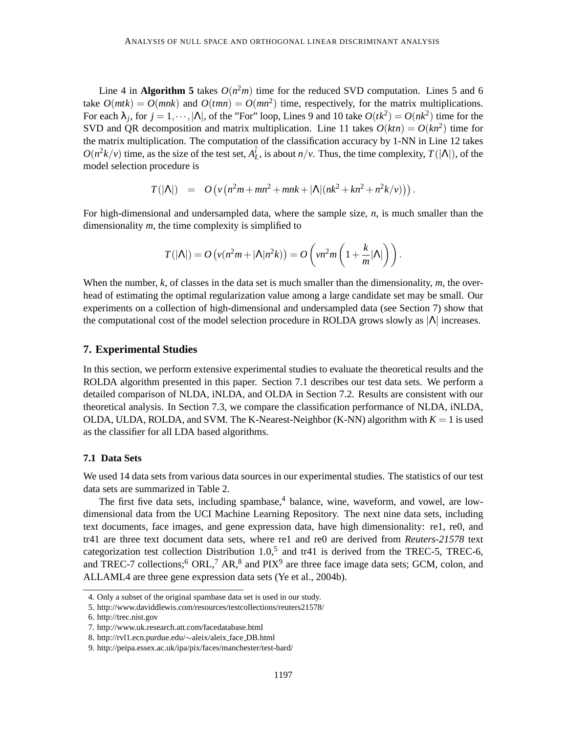Line 4 in **Algorithm 5** takes  $O(n^2m)$  time for the reduced SVD computation. Lines 5 and 6 take  $O(mt) = O(mnk)$  and  $O(tmn) = O(mn^2)$  time, respectively, for the matrix multiplications. For each  $\lambda_j$ , for  $j = 1, \dots, |\Lambda|$ , of the "For" loop, Lines 9 and 10 take  $O(tk^2) = O(nk^2)$  time for the SVD and QR decomposition and matrix multiplication. Line 11 takes  $O(ktn) = O(kn^2)$  time for the matrix multiplication. The computation of the classification accuracy by 1-NN in Line 12 takes  $O(n^2k/v)$  time, as the size of the test set,  $A_L^{\hat{i}}$ , is about  $n/v$ . Thus, the time complexity,  $T(|\Lambda|)$ , of the model selection procedure is

$$
T(|\Lambda|) = O(v(n^2m + mn^2 + mnk + |\Lambda|(nk^2 + kn^2 + n^2k/v))).
$$

For high-dimensional and undersampled data, where the sample size, *n*, is much smaller than the dimensionality *m*, the time complexity is simplified to

$$
T(|\Lambda|) = O\left(v(n^2m + |\Lambda|n^2k)\right) = O\left(vn^2m\left(1 + \frac{k}{m}|\Lambda|\right)\right).
$$

When the number, *k*, of classes in the data set is much smaller than the dimensionality, *m*, the overhead of estimating the optimal regularization value among a large candidate set may be small. Our experiments on a collection of high-dimensional and undersampled data (see Section 7) show that the computational cost of the model selection procedure in ROLDA grows slowly as  $|\Lambda|$  increases.

#### **7. Experimental Studies**

In this section, we perform extensive experimental studies to evaluate the theoretical results and the ROLDA algorithm presented in this paper. Section 7.1 describes our test data sets. We perform a detailed comparison of NLDA, iNLDA, and OLDA in Section 7.2. Results are consistent with our theoretical analysis. In Section 7.3, we compare the classification performance of NLDA, iNLDA, OLDA, ULDA, ROLDA, and SVM. The K-Nearest-Neighbor (K-NN) algorithm with  $K = 1$  is used as the classifier for all LDA based algorithms.

# **7.1 Data Sets**

We used 14 data sets from various data sources in our experimental studies. The statistics of our test data sets are summarized in Table 2.

The first five data sets, including spambase,  $4$  balance, wine, waveform, and vowel, are lowdimensional data from the UCI Machine Learning Repository. The next nine data sets, including text documents, face images, and gene expression data, have high dimensionality: re1, re0, and tr41 are three text document data sets, where re1 and re0 are derived from *Reuters-21578* text categorization test collection Distribution  $1.0$ ,<sup>5</sup> and tr41 is derived from the TREC-5, TREC-6, and TREC-7 collections;  $6$  ORL,  $7$  AR,  $8$  and PIX $9$  are three face image data sets; GCM, colon, and ALLAML4 are three gene expression data sets (Ye et al., 2004b).

<sup>4.</sup> Only a subset of the original spambase data set is used in our study.

<sup>5.</sup> http://www.daviddlewis.com/resources/testcollections/reuters21578/

<sup>6.</sup> http://trec.nist.gov

<sup>7.</sup> http://www.uk.research.att.com/facedatabase.html

<sup>8.</sup> http://rvl1.ecn.purdue.edu/∼aleix/aleix face DB.html

<sup>9.</sup> http://peipa.essex.ac.uk/ipa/pix/faces/manchester/test-hard/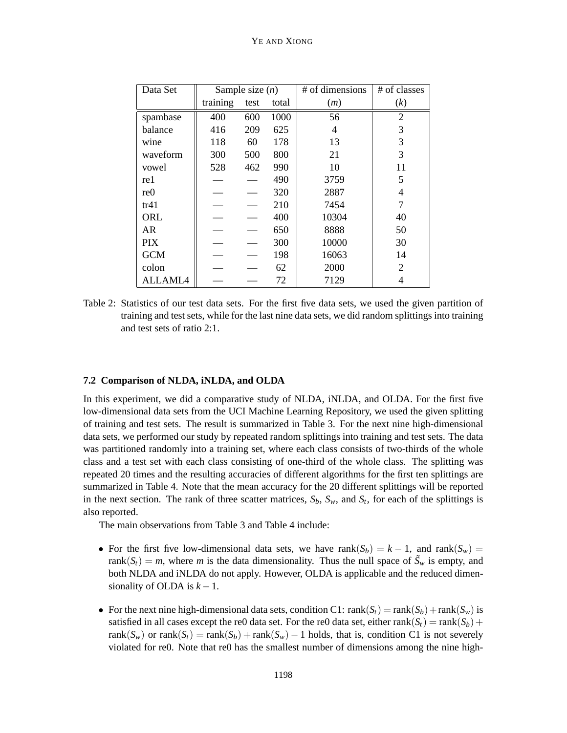| Data Set        | Sample size $(n)$ |      |       | # of dimensions | # of classes   |
|-----------------|-------------------|------|-------|-----------------|----------------|
|                 | training          | test | total | (m)             | (k)            |
| spambase        | 400               | 600  | 1000  | 56              | $\overline{2}$ |
| balance         | 416               | 209  | 625   | 4               | 3              |
| wine            | 118               | 60   | 178   | 13              | 3              |
| waveform        | 300               | 500  | 800   | 21              | 3              |
| vowel           | 528               | 462  | 990   | 10              | 11             |
| re 1            |                   |      | 490   | 3759            | 5              |
| re <sub>0</sub> |                   |      | 320   | 2887            | 4              |
| tr41            |                   |      | 210   | 7454            | 7              |
| ORL             |                   |      | 400   | 10304           | 40             |
| AR              |                   |      | 650   | 8888            | 50             |
| <b>PIX</b>      |                   |      | 300   | 10000           | 30             |
| <b>GCM</b>      |                   |      | 198   | 16063           | 14             |
| colon           |                   |      | 62    | 2000            | $\overline{2}$ |
| <b>ALLAML4</b>  |                   |      | 72    | 7129            | 4              |

Table 2: Statistics of our test data sets. For the first five data sets, we used the given partition of training and test sets, while for the last nine data sets, we did random splittings into training and test sets of ratio 2:1.

#### **7.2 Comparison of NLDA, iNLDA, and OLDA**

In this experiment, we did a comparative study of NLDA, iNLDA, and OLDA. For the first five low-dimensional data sets from the UCI Machine Learning Repository, we used the given splitting of training and test sets. The result is summarized in Table 3. For the next nine high-dimensional data sets, we performed our study by repeated random splittings into training and test sets. The data was partitioned randomly into a training set, where each class consists of two-thirds of the whole class and a test set with each class consisting of one-third of the whole class. The splitting was repeated 20 times and the resulting accuracies of different algorithms for the first ten splittings are summarized in Table 4. Note that the mean accuracy for the 20 different splittings will be reported in the next section. The rank of three scatter matrices,  $S_b$ ,  $S_w$ , and  $S_t$ , for each of the splittings is also reported.

The main observations from Table 3 and Table 4 include:

- For the first five low-dimensional data sets, we have rank( $S_b$ ) =  $k 1$ , and rank( $S_w$ ) = rank $(S_t) = m$ , where *m* is the data dimensionality. Thus the null space of  $\tilde{S}_w$  is empty, and both NLDA and iNLDA do not apply. However, OLDA is applicable and the reduced dimensionality of OLDA is  $k - 1$ .
- For the next nine high-dimensional data sets, condition C1:  $rank(S_t) = rank(S_b) + rank(S_w)$  is satisfied in all cases except the re0 data set. For the re0 data set, either rank( $S_t$ ) = rank( $S_b$ ) + rank( $S_w$ ) or rank( $S_t$ ) = rank( $S_b$ ) + rank( $S_w$ ) − 1 holds, that is, condition C1 is not severely violated for re0. Note that re0 has the smallest number of dimensions among the nine high-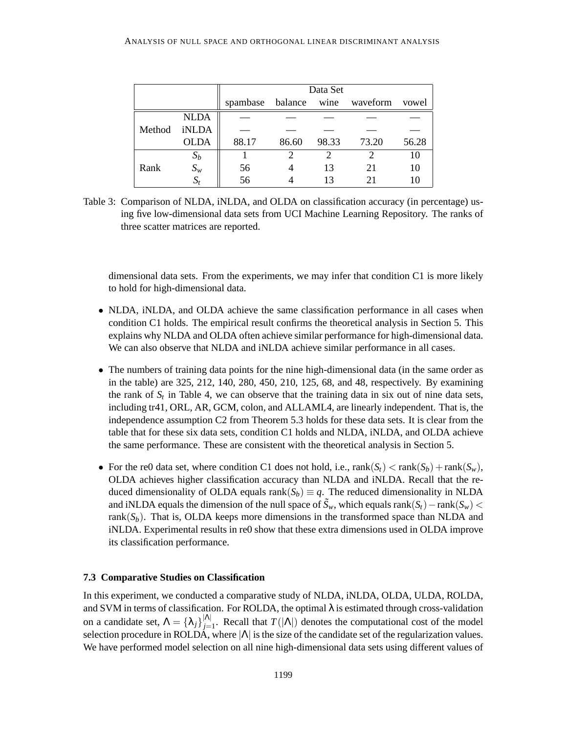|        |             | Data Set |              |       |          |       |  |  |
|--------|-------------|----------|--------------|-------|----------|-------|--|--|
|        |             | spambase | balance wine |       | waveform | vowel |  |  |
|        | <b>NLDA</b> |          |              |       |          |       |  |  |
| Method | iNLDA       |          |              |       |          |       |  |  |
|        | <b>OLDA</b> | 88.17    | 86.60        | 98.33 | 73.20    | 56.28 |  |  |
|        | $S_b$       |          |              |       |          | 10    |  |  |
| Rank   | $S_w$       | 56       |              | 13    | 21       | 10    |  |  |
|        | $S_t$       | 56       |              | 13    |          |       |  |  |

Table 3: Comparison of NLDA, iNLDA, and OLDA on classification accuracy (in percentage) using five low-dimensional data sets from UCI Machine Learning Repository. The ranks of three scatter matrices are reported.

dimensional data sets. From the experiments, we may infer that condition C1 is more likely to hold for high-dimensional data.

- NLDA, iNLDA, and OLDA achieve the same classification performance in all cases when condition C1 holds. The empirical result confirms the theoretical analysis in Section 5. This explains why NLDA and OLDA often achieve similar performance for high-dimensional data. We can also observe that NLDA and iNLDA achieve similar performance in all cases.
- The numbers of training data points for the nine high-dimensional data (in the same order as in the table) are 325, 212, 140, 280, 450, 210, 125, 68, and 48, respectively. By examining the rank of  $S_t$  in Table 4, we can observe that the training data in six out of nine data sets, including tr41, ORL, AR, GCM, colon, and ALLAML4, are linearly independent. That is, the independence assumption C2 from Theorem 5.3 holds for these data sets. It is clear from the table that for these six data sets, condition C1 holds and NLDA, iNLDA, and OLDA achieve the same performance. These are consistent with the theoretical analysis in Section 5.
- For the re0 data set, where condition C1 does not hold, i.e.,  $rank(S_t) < rank(S_b) + rank(S_w)$ , OLDA achieves higher classification accuracy than NLDA and iNLDA. Recall that the reduced dimensionality of OLDA equals rank $(S_b) \equiv q$ . The reduced dimensionality in NLDA and iNLDA equals the dimension of the null space of  $\tilde{S}_w$ , which equals rank( $S_t$ ) – rank( $S_w$ ) < rank $(S_b)$ . That is, OLDA keeps more dimensions in the transformed space than NLDA and iNLDA. Experimental results in re0 show that these extra dimensions used in OLDA improve its classification performance.

#### **7.3 Comparative Studies on Classification**

In this experiment, we conducted a comparative study of NLDA, iNLDA, OLDA, ULDA, ROLDA, and SVM in terms of classification. For ROLDA, the optimal  $\lambda$  is estimated through cross-validation on a candidate set,  $\Lambda = {\lambda_j}_{j=1}^{|\Lambda|}$ . Recall that  $T(|\Lambda|)$  denotes the computational cost of the model selection procedure in ROLDA, where  $|\Lambda|$  is the size of the candidate set of the regularization values. We have performed model selection on all nine high-dimensional data sets using different values of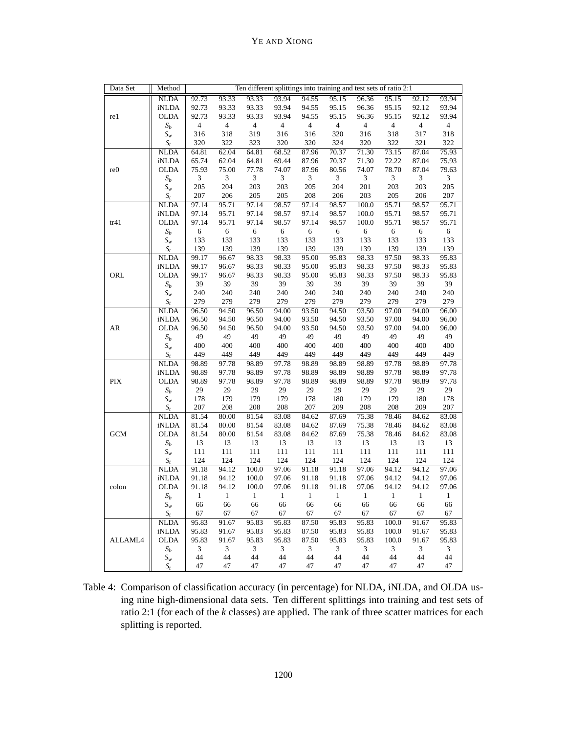| Data Set        | Method<br>Ten different splittings into training and test sets of ratio 2:1 |                |                          |                          |                |                |                                      |                |                |                |                          |
|-----------------|-----------------------------------------------------------------------------|----------------|--------------------------|--------------------------|----------------|----------------|--------------------------------------|----------------|----------------|----------------|--------------------------|
|                 | <b>NLDA</b>                                                                 | 92.73          | 93.33                    | 93.33                    | 93.94          | 94.55          | 95.15                                | 96.36          | 95.15          | 92.12          | 93.94                    |
|                 | <b>iNLDA</b>                                                                | 92.73          | 93.33                    | 93.33                    | 93.94          | 94.55          | 95.15                                | 96.36          | 95.15          | 92.12          | 93.94                    |
| re1             | <b>OLDA</b>                                                                 | 92.73          | 93.33                    | 93.33                    | 93.94          | 94.55          | 95.15                                | 96.36          | 95.15          | 92.12          | 93.94                    |
|                 | $S_b$                                                                       | $\overline{4}$ | $\overline{4}$           | $\sqrt{4}$               | $\overline{4}$ | $\overline{4}$ | $\overline{4}$                       | $\overline{4}$ | $\overline{4}$ | $\overline{4}$ | $\sqrt{4}$               |
|                 | $S_{\scriptscriptstyle W}$                                                  | 316            | 318                      | 319                      | 316            | 316            | 320                                  | 316            | 318            | 317            | 318                      |
|                 | $S_t$                                                                       | 320            | 322                      | 323                      | 320            | 320            | 324                                  | 320            | 322            | 321            | 322                      |
|                 | <b>NLDA</b>                                                                 | 64.81          | 62.04                    | 64.81                    | 68.52          | 87.96          | 70.37                                | 71.30          | 73.15          | 87.04          | 75.93                    |
|                 | <b>iNLDA</b>                                                                | 65.74          | 62.04                    | 64.81                    | 69.44          | 87.96          | 70.37                                | 71.30          | 72.22          | 87.04          | 75.93                    |
| re <sub>0</sub> | <b>OLDA</b>                                                                 | 75.93          | 75.00                    | 77.78                    | 74.07          | 87.96          | 80.56                                | 74.07          | 78.70          | 87.04          | 79.63                    |
|                 | $S_b$                                                                       | $\mathfrak{Z}$ | 3                        | $\mathfrak{Z}$           | $\mathfrak{Z}$ | 3              | $\mathfrak{Z}$                       | 3              | $\mathfrak{Z}$ | 3              | $\sqrt{3}$               |
|                 | $S_{w}$                                                                     | 205            | 204                      | 203                      | 203            | 205            | 204                                  | 201            | 203            | 203            | 205                      |
|                 | $S_t$                                                                       | 207            | 206                      | 205                      | 205            | 208            | 206                                  | 203            | 205            | 206            | 207                      |
|                 | <b>NLDA</b>                                                                 | 97.14          | 95.71                    | 97.14                    | 98.57          | 97.14          | 98.57                                | 100.0          | 95.71          | 98.57          | 95.71                    |
|                 | <b>iNLDA</b>                                                                | 97.14          | 95.71                    | 97.14                    | 98.57          | 97.14          | 98.57                                | 100.0          | 95.71          | 98.57          | 95.71                    |
| tr41            | <b>OLDA</b>                                                                 | 97.14          | 95.71                    | 97.14                    | 98.57          | 97.14          | 98.57                                | 100.0          | 95.71          | 98.57          | 95.71                    |
|                 | $S_b$                                                                       | $\sqrt{6}$     | 6                        | $\sqrt{6}$               | 6              | $\sqrt{6}$     | 6                                    | 6              | $\sqrt{6}$     | 6              | $\sqrt{6}$               |
|                 | $S_{\scriptscriptstyle W}$                                                  | 133            | 133                      | 133                      | 133            | 133            | 133                                  | 133            | 133            | 133            | 133                      |
|                 | $S_t$                                                                       | 139            | 139                      | 139                      | 139            | 139            | 139                                  | 139            | 139            | 139            | 139                      |
|                 | <b>NLDA</b>                                                                 | 99.17          | 96.67                    | 98.33                    | 98.33          | 95.00          | 95.83                                | 98.33          | 97.50          | 98.33          | 95.83                    |
|                 | iNLDA                                                                       | 99.17          | 96.67                    | 98.33                    | 98.33          | 95.00          | 95.83                                | 98.33          | 97.50          | 98.33          | 95.83                    |
| ORL             | <b>OLDA</b>                                                                 | 99.17          | 96.67                    | 98.33                    | 98.33          | 95.00          | 95.83                                | 98.33          | 97.50          | 98.33          | 95.83                    |
|                 | $S_b$                                                                       | 39             | 39                       | 39                       | 39             | 39             | 39                                   | 39             | 39             | 39             | 39                       |
|                 | $S_w$                                                                       | 240            | 240                      | 240                      | 240            | 240            | 240                                  | 240            | 240            | 240            | 240                      |
|                 | $S_t$                                                                       | 279            | 279                      | 279                      | 279            | 279            | 279                                  | 279            | 279            | 279            | 279                      |
|                 | <b>NLDA</b>                                                                 | 96.50          | 94.50                    | 96.50                    | 94.00          | 93.50          | 94.50                                | 93.50          | 97.00          | 94.00          | 96.00                    |
|                 | <b>iNLDA</b>                                                                | 96.50          | 94.50                    | 96.50                    | 94.00          | 93.50          | 94.50                                | 93.50          | 97.00          | 94.00          | 96.00                    |
| AR              | <b>OLDA</b>                                                                 | 96.50          | 94.50                    | 96.50                    | 94.00          | 93.50          | 94.50                                | 93.50          | 97.00          | 94.00          | 96.00                    |
|                 | $\mathfrak{S}_b$                                                            | 49             | 49                       | 49                       | 49             | 49             | 49                                   | 49             | 49             | 49             | 49                       |
|                 | $S_{\scriptscriptstyle W}$                                                  | 400            | 400                      | 400                      | 400            | 400            | 400                                  | 400            | 400            | 400            | 400                      |
|                 | $S_t$                                                                       | 449            | 449                      | 449                      | 449            | 449            | 449                                  | 449            | 449            | 449            | 449                      |
|                 | $\overline{\mbox{NLDA}}$                                                    | 98.89          | 97.78                    | 98.89                    | 97.78          | 98.89          | 98.89                                | 98.89          | 97.78          | 98.89          | 97.78                    |
|                 | <b>iNLDA</b>                                                                | 98.89          | 97.78                    | 98.89                    | 97.78          | 98.89          | 98.89                                | 98.89          | 97.78          | 98.89          | 97.78                    |
| PIX             | <b>OLDA</b>                                                                 | 98.89          | 97.78                    | 98.89                    | 97.78          | 98.89          | 98.89                                | 98.89          | 97.78          | 98.89          | 97.78                    |
|                 | $S_b$                                                                       | 29             | 29                       | 29                       | $29\,$         | 29             | 29                                   | 29             | 29             | 29             | 29                       |
|                 | $S_{w}$                                                                     | 178            | 179                      | 179                      | 179            | 178            | 180                                  | 179            | 179            | 180            | 178                      |
|                 | $S_t$                                                                       | 207            | 208                      | 208                      | 208            | 207            | 209                                  | $208\,$        | 208            | 209            | 207                      |
|                 | $\overline{\mbox{NLDA}}$                                                    | 81.54          | 80.00                    | 81.54                    | 83.08          | 84.62          | 87.69                                | 75.38          | 78.46          | 84.62          | 83.08                    |
|                 | <b>iNLDA</b>                                                                | 81.54          | 80.00                    | 81.54                    | 83.08          | 84.62          | 87.69                                | 75.38          | 78.46          | 84.62          | 83.08                    |
| <b>GCM</b>      | <b>OLDA</b>                                                                 | 81.54          | 80.00                    | 81.54                    | 83.08          | 84.62          | 87.69                                | 75.38          | 78.46          | 84.62          | 83.08                    |
|                 | $\mathcal{S}_b$                                                             | 13             | 13                       | 13                       | 13             | 13             | 13                                   | 13             | 13             | 13             | 13                       |
|                 | $S_w$                                                                       | 111            | 111                      | 111                      | 111            | 111            | 111                                  | 111            | 111            | 111            | 111                      |
|                 | $S_t$                                                                       | 124            | 124                      | 124                      | 124            | 124            | 124                                  | 124            | 124            | 124            | 124                      |
|                 | $\overline{\mbox{NLDA}}$                                                    | 91.18          | 94.12                    | 100.0                    | 97.06          | 91.18          | 91.18                                | 97.06          | 94.12          | 94.12          | 97.06                    |
|                 | <b>iNLDA</b>                                                                | 91.18          | 94.12                    | 100.0                    | 97.06          | 91.18          | 91.18                                | 97.06          | 94.12          | 94.12          | 97.06                    |
| colon           | <b>OLDA</b>                                                                 | 91.18          | 94.12                    | 100.0                    | 97.06          | 91.18          | 91.18                                | 97.06          | 94.12          | 94.12          | 97.06                    |
|                 | $S_b$                                                                       | 1              | $\overline{\phantom{0}}$ | $\overline{\phantom{0}}$ | $\mathbf{1}$   | $\frac{1}{2}$  | $\begin{array}{ccc} & 1 \end{array}$ | $\frac{1}{2}$  | $\overline{1}$ | $\overline{1}$ | $\overline{\phantom{0}}$ |
|                 | $S_{w}$                                                                     | 66             | 66                       | 66                       | 66             | 66             | 66                                   | 66             | 66             | 66             | 66                       |
|                 | $S_t$                                                                       | 67             | 67<br>91.67              | 67                       | 67<br>95.83    | 67             | 67                                   | 67             | 67             | 67             | 67                       |
|                 | <b>NLDA</b>                                                                 | 95.83          |                          | 95.83                    |                | 87.50          | 95.83                                | 95.83          | 100.0          | 91.67          | 95.83                    |
| ALLAML4         | iNLDA<br><b>OLDA</b>                                                        | 95.83<br>95.83 | 91.67<br>91.67           | 95.83<br>95.83           | 95.83<br>95.83 | 87.50<br>87.50 | 95.83<br>95.83                       | 95.83<br>95.83 | 100.0<br>100.0 | 91.67<br>91.67 | 95.83<br>95.83           |
|                 | $S_b$                                                                       | 3              | 3                        | 3                        | $\mathfrak{Z}$ | 3              | $\mathfrak{Z}$                       | $\mathfrak{Z}$ | 3              | 3              | 3                        |
|                 |                                                                             | 44             | 44                       | 44                       | 44             | 44             | 44                                   | 44             | 44             | 44             | 44                       |
|                 | $S_w$<br>$S_t$                                                              | 47             | 47                       | 47                       | 47             | 47             | 47                                   | 47             | 47             | 47             | 47                       |
|                 |                                                                             |                |                          |                          |                |                |                                      |                |                |                |                          |

Table 4: Comparison of classification accuracy (in percentage) for NLDA, iNLDA, and OLDA using nine high-dimensional data sets. Ten different splittings into training and test sets of ratio 2:1 (for each of the *k* classes) are applied. The rank of three scatter matrices for each splitting is reported.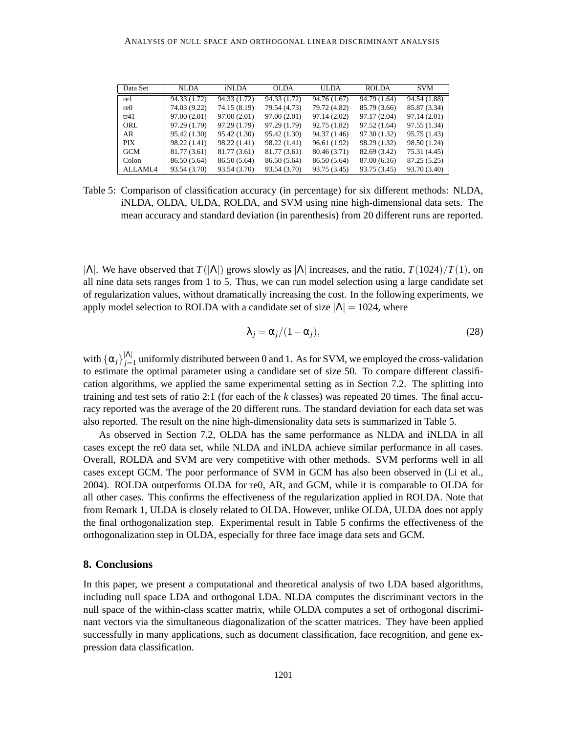| Data Set        | <b>NLDA</b>  | iNLDA        | <b>OLDA</b>  | ULDA         | <b>ROLDA</b> | <b>SVM</b>   |
|-----------------|--------------|--------------|--------------|--------------|--------------|--------------|
| re1             | 94.33 (1.72) | 94.33 (1.72) | 94.33 (1.72) | 94.76 (1.67) | 94.79 (1.64) | 94.54 (1.88) |
| re <sub>0</sub> | 74.03 (9.22) | 74.15 (8.19) | 79.54 (4.73) | 79.72 (4.82) | 85.79 (3.66) | 85.87 (3.34) |
| tr41            | 97.00 (2.01) | 97.00 (2.01) | 97.00(2.01)  | 97.14 (2.02) | 97.17 (2.04) | 97.14 (2.01) |
| ORL             | 97.29 (1.79) | 97.29 (1.79) | 97.29 (1.79) | 92.75 (1.82) | 97.52 (1.64) | 97.55 (1.34) |
| AR              | 95.42 (1.30) | 95.42 (1.30) | 95.42 (1.30) | 94.37 (1.46) | 97.30 (1.32) | 95.75 (1.43) |
| <b>PIX</b>      | 98.22 (1.41) | 98.22 (1.41) | 98.22 (1.41) | 96.61 (1.92) | 98.29 (1.32) | 98.50 (1.24) |
| <b>GCM</b>      | 81.77 (3.61) | 81.77 (3.61) | 81.77 (3.61) | 80.46 (3.71) | 82.69 (3.42) | 75.31 (4.45) |
| Colon           | 86.50 (5.64) | 86.50 (5.64) | 86.50 (5.64) | 86.50 (5.64) | 87.00 (6.16) | 87.25 (5.25) |
| ALLAML4         | 93.54 (3.70) | 93.54 (3.70) | 93.54 (3.70) | 93.75 (3.45) | 93.75 (3.45) | 93.70 (3.40) |

Table 5: Comparison of classification accuracy (in percentage) for six different methods: NLDA, iNLDA, OLDA, ULDA, ROLDA, and SVM using nine high-dimensional data sets. The mean accuracy and standard deviation (in parenthesis) from 20 different runs are reported.

 $|\Lambda|$ . We have observed that  $T(|\Lambda|)$  grows slowly as  $|\Lambda|$  increases, and the ratio,  $T(1024)/T(1)$ , on all nine data sets ranges from 1 to 5. Thus, we can run model selection using a large candidate set of regularization values, without dramatically increasing the cost. In the following experiments, we apply model selection to ROLDA with a candidate set of size  $|\Lambda| = 1024$ , where

$$
\lambda_j = \alpha_j/(1 - \alpha_j),\tag{28}
$$

with  $\{\alpha_j\}_{j=1}^{|A|}$  uniformly distributed between 0 and 1. As for SVM, we employed the cross-validation to estimate the optimal parameter using a candidate set of size 50. To compare different classification algorithms, we applied the same experimental setting as in Section 7.2. The splitting into training and test sets of ratio 2:1 (for each of the *k* classes) was repeated 20 times. The final accuracy reported was the average of the 20 different runs. The standard deviation for each data set was also reported. The result on the nine high-dimensionality data sets is summarized in Table 5.

As observed in Section 7.2, OLDA has the same performance as NLDA and iNLDA in all cases except the re0 data set, while NLDA and iNLDA achieve similar performance in all cases. Overall, ROLDA and SVM are very competitive with other methods. SVM performs well in all cases except GCM. The poor performance of SVM in GCM has also been observed in (Li et al., 2004). ROLDA outperforms OLDA for re0, AR, and GCM, while it is comparable to OLDA for all other cases. This confirms the effectiveness of the regularization applied in ROLDA. Note that from Remark 1, ULDA is closely related to OLDA. However, unlike OLDA, ULDA does not apply the final orthogonalization step. Experimental result in Table 5 confirms the effectiveness of the orthogonalization step in OLDA, especially for three face image data sets and GCM.

### **8. Conclusions**

In this paper, we present a computational and theoretical analysis of two LDA based algorithms, including null space LDA and orthogonal LDA. NLDA computes the discriminant vectors in the null space of the within-class scatter matrix, while OLDA computes a set of orthogonal discriminant vectors via the simultaneous diagonalization of the scatter matrices. They have been applied successfully in many applications, such as document classification, face recognition, and gene expression data classification.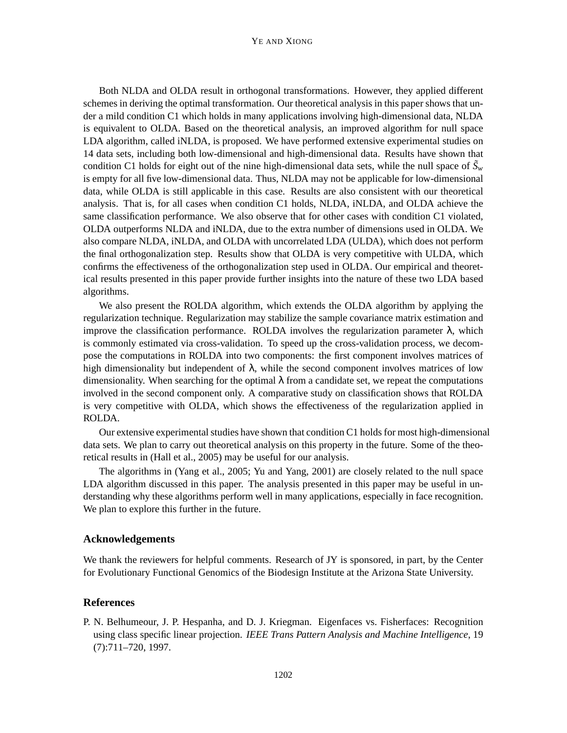Both NLDA and OLDA result in orthogonal transformations. However, they applied different schemes in deriving the optimal transformation. Our theoretical analysis in this paper shows that under a mild condition C1 which holds in many applications involving high-dimensional data, NLDA is equivalent to OLDA. Based on the theoretical analysis, an improved algorithm for null space LDA algorithm, called iNLDA, is proposed. We have performed extensive experimental studies on 14 data sets, including both low-dimensional and high-dimensional data. Results have shown that condition C1 holds for eight out of the nine high-dimensional data sets, while the null space of  $\tilde{S}_w$ is empty for all five low-dimensional data. Thus, NLDA may not be applicable for low-dimensional data, while OLDA is still applicable in this case. Results are also consistent with our theoretical analysis. That is, for all cases when condition C1 holds, NLDA, iNLDA, and OLDA achieve the same classification performance. We also observe that for other cases with condition C1 violated, OLDA outperforms NLDA and iNLDA, due to the extra number of dimensions used in OLDA. We also compare NLDA, iNLDA, and OLDA with uncorrelated LDA (ULDA), which does not perform the final orthogonalization step. Results show that OLDA is very competitive with ULDA, which confirms the effectiveness of the orthogonalization step used in OLDA. Our empirical and theoretical results presented in this paper provide further insights into the nature of these two LDA based algorithms.

We also present the ROLDA algorithm, which extends the OLDA algorithm by applying the regularization technique. Regularization may stabilize the sample covariance matrix estimation and improve the classification performance. ROLDA involves the regularization parameter  $\lambda$ , which is commonly estimated via cross-validation. To speed up the cross-validation process, we decompose the computations in ROLDA into two components: the first component involves matrices of high dimensionality but independent of  $\lambda$ , while the second component involves matrices of low dimensionality. When searching for the optimal  $\lambda$  from a candidate set, we repeat the computations involved in the second component only. A comparative study on classification shows that ROLDA is very competitive with OLDA, which shows the effectiveness of the regularization applied in ROLDA.

Our extensive experimental studies have shown that condition C1 holds for most high-dimensional data sets. We plan to carry out theoretical analysis on this property in the future. Some of the theoretical results in (Hall et al., 2005) may be useful for our analysis.

The algorithms in (Yang et al., 2005; Yu and Yang, 2001) are closely related to the null space LDA algorithm discussed in this paper. The analysis presented in this paper may be useful in understanding why these algorithms perform well in many applications, especially in face recognition. We plan to explore this further in the future.

# **Acknowledgements**

We thank the reviewers for helpful comments. Research of JY is sponsored, in part, by the Center for Evolutionary Functional Genomics of the Biodesign Institute at the Arizona State University.

# **References**

P. N. Belhumeour, J. P. Hespanha, and D. J. Kriegman. Eigenfaces vs. Fisherfaces: Recognition using class specific linear projection. *IEEE Trans Pattern Analysis and Machine Intelligence*, 19 (7):711–720, 1997.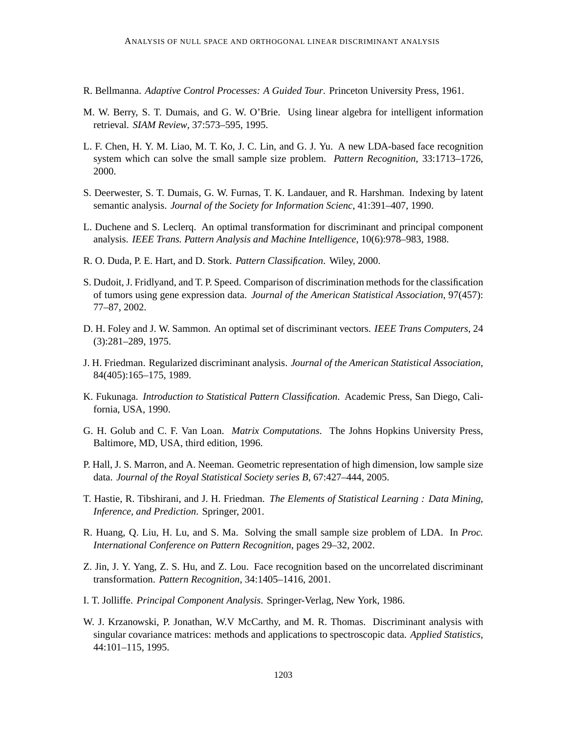- R. Bellmanna. *Adaptive Control Processes: A Guided Tour*. Princeton University Press, 1961.
- M. W. Berry, S. T. Dumais, and G. W. O'Brie. Using linear algebra for intelligent information retrieval. *SIAM Review*, 37:573–595, 1995.
- L. F. Chen, H. Y. M. Liao, M. T. Ko, J. C. Lin, and G. J. Yu. A new LDA-based face recognition system which can solve the small sample size problem. *Pattern Recognition*, 33:1713–1726, 2000.
- S. Deerwester, S. T. Dumais, G. W. Furnas, T. K. Landauer, and R. Harshman. Indexing by latent semantic analysis. *Journal of the Society for Information Scienc*, 41:391–407, 1990.
- L. Duchene and S. Leclerq. An optimal transformation for discriminant and principal component analysis. *IEEE Trans. Pattern Analysis and Machine Intelligence*, 10(6):978–983, 1988.
- R. O. Duda, P. E. Hart, and D. Stork. *Pattern Classification*. Wiley, 2000.
- S. Dudoit, J. Fridlyand, and T. P. Speed. Comparison of discrimination methods for the classification of tumors using gene expression data. *Journal of the American Statistical Association*, 97(457): 77–87, 2002.
- D. H. Foley and J. W. Sammon. An optimal set of discriminant vectors. *IEEE Trans Computers*, 24 (3):281–289, 1975.
- J. H. Friedman. Regularized discriminant analysis. *Journal of the American Statistical Association*, 84(405):165–175, 1989.
- K. Fukunaga. *Introduction to Statistical Pattern Classification*. Academic Press, San Diego, California, USA, 1990.
- G. H. Golub and C. F. Van Loan. *Matrix Computations*. The Johns Hopkins University Press, Baltimore, MD, USA, third edition, 1996.
- P. Hall, J. S. Marron, and A. Neeman. Geometric representation of high dimension, low sample size data. *Journal of the Royal Statistical Society series B*, 67:427–444, 2005.
- T. Hastie, R. Tibshirani, and J. H. Friedman. *The Elements of Statistical Learning : Data Mining, Inference, and Prediction*. Springer, 2001.
- R. Huang, Q. Liu, H. Lu, and S. Ma. Solving the small sample size problem of LDA. In *Proc. International Conference on Pattern Recognition*, pages 29–32, 2002.
- Z. Jin, J. Y. Yang, Z. S. Hu, and Z. Lou. Face recognition based on the uncorrelated discriminant transformation. *Pattern Recognition*, 34:1405–1416, 2001.
- I. T. Jolliffe. *Principal Component Analysis*. Springer-Verlag, New York, 1986.
- W. J. Krzanowski, P. Jonathan, W.V McCarthy, and M. R. Thomas. Discriminant analysis with singular covariance matrices: methods and applications to spectroscopic data. *Applied Statistics*, 44:101–115, 1995.